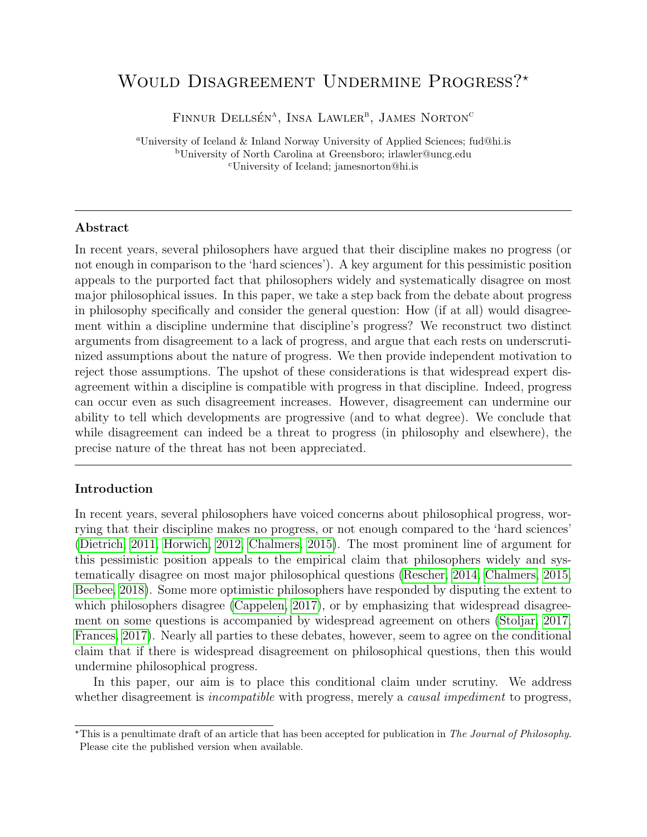# <span id="page-0-0"></span>WOULD DISAGREEMENT UNDERMINE PROGRESS?<sup>\*</sup>

FINNUR DELLSÉN<sup>A</sup>, INSA LAWLER<sup>B</sup>, JAMES NORTON<sup>C</sup>

<sup>a</sup>University of Iceland & Inland Norway University of Applied Sciences; fud@hi.is <sup>b</sup>University of North Carolina at Greensboro; irlawler@uncg.edu <sup>c</sup>University of Iceland; jamesnorton@hi.is

### Abstract

In recent years, several philosophers have argued that their discipline makes no progress (or not enough in comparison to the 'hard sciences'). A key argument for this pessimistic position appeals to the purported fact that philosophers widely and systematically disagree on most major philosophical issues. In this paper, we take a step back from the debate about progress in philosophy specifically and consider the general question: How (if at all) would disagreement within a discipline undermine that discipline's progress? We reconstruct two distinct arguments from disagreement to a lack of progress, and argue that each rests on underscrutinized assumptions about the nature of progress. We then provide independent motivation to reject those assumptions. The upshot of these considerations is that widespread expert disagreement within a discipline is compatible with progress in that discipline. Indeed, progress can occur even as such disagreement increases. However, disagreement can undermine our ability to tell which developments are progressive (and to what degree). We conclude that while disagreement can indeed be a threat to progress (in philosophy and elsewhere), the precise nature of the threat has not been appreciated.

# Introduction

In recent years, several philosophers have voiced concerns about philosophical progress, worrying that their discipline makes no progress, or not enough compared to the 'hard sciences' [\(Dietrich, 2011,](#page-24-0) [Horwich, 2012,](#page-25-0) [Chalmers, 2015\)](#page-24-1). The most prominent line of argument for this pessimistic position appeals to the empirical claim that philosophers widely and systematically disagree on most major philosophical questions [\(Rescher, 2014,](#page-27-0) [Chalmers, 2015,](#page-24-1) [Beebee, 2018\)](#page-23-0). Some more optimistic philosophers have responded by disputing the extent to which philosophers disagree [\(Cappelen, 2017\)](#page-24-2), or by emphasizing that widespread disagreement on some questions is accompanied by widespread agreement on others [\(Stoljar, 2017,](#page-27-1) [Frances, 2017\)](#page-25-1). Nearly all parties to these debates, however, seem to agree on the conditional claim that if there is widespread disagreement on philosophical questions, then this would undermine philosophical progress.

In this paper, our aim is to place this conditional claim under scrutiny. We address whether disagreement is *incompatible* with progress, merely a *causal impediment* to progress,

 $\star$ This is a penultimate draft of an article that has been accepted for publication in The Journal of Philosophy. Please cite the published version when available.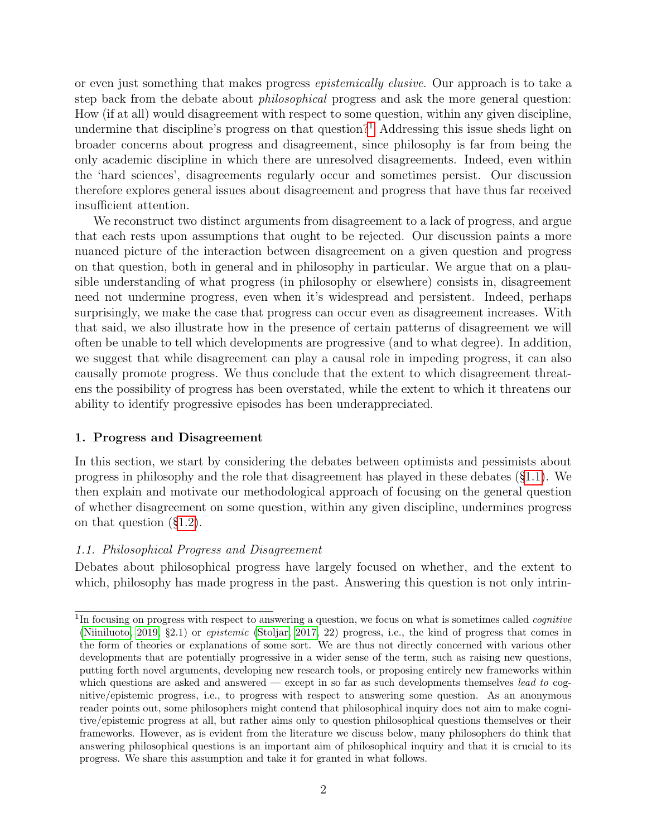or even just something that makes progress epistemically elusive. Our approach is to take a step back from the debate about philosophical progress and ask the more general question: How (if at all) would disagreement with respect to some question, within any given discipline, undermine that discipline's progress on that question?<sup>[1](#page-0-0)</sup> Addressing this issue sheds light on broader concerns about progress and disagreement, since philosophy is far from being the only academic discipline in which there are unresolved disagreements. Indeed, even within the 'hard sciences', disagreements regularly occur and sometimes persist. Our discussion therefore explores general issues about disagreement and progress that have thus far received insufficient attention.

We reconstruct two distinct arguments from disagreement to a lack of progress, and argue that each rests upon assumptions that ought to be rejected. Our discussion paints a more nuanced picture of the interaction between disagreement on a given question and progress on that question, both in general and in philosophy in particular. We argue that on a plausible understanding of what progress (in philosophy or elsewhere) consists in, disagreement need not undermine progress, even when it's widespread and persistent. Indeed, perhaps surprisingly, we make the case that progress can occur even as disagreement increases. With that said, we also illustrate how in the presence of certain patterns of disagreement we will often be unable to tell which developments are progressive (and to what degree). In addition, we suggest that while disagreement can play a causal role in impeding progress, it can also causally promote progress. We thus conclude that the extent to which disagreement threatens the possibility of progress has been overstated, while the extent to which it threatens our ability to identify progressive episodes has been underappreciated.

# 1. Progress and Disagreement

In this section, we start by considering the debates between optimists and pessimists about progress in philosophy and the role that disagreement has played in these debates (§[1.1\)](#page-1-0). We then explain and motivate our methodological approach of focusing on the general question of whether disagreement on some question, within any given discipline, undermines progress on that question (§[1.2\)](#page-3-0).

# <span id="page-1-0"></span>1.1. Philosophical Progress and Disagreement

Debates about philosophical progress have largely focused on whether, and the extent to which, philosophy has made progress in the past. Answering this question is not only intrin-

<sup>&</sup>lt;sup>1</sup>In focusing on progress with respect to answering a question, we focus on what is sometimes called *cognitive* [\(Niiniluoto, 2019,](#page-27-2) §2.1) or epistemic [\(Stoljar, 2017,](#page-27-1) 22) progress, i.e., the kind of progress that comes in the form of theories or explanations of some sort. We are thus not directly concerned with various other developments that are potentially progressive in a wider sense of the term, such as raising new questions, putting forth novel arguments, developing new research tools, or proposing entirely new frameworks within which questions are asked and answered — except in so far as such developments themselves *lead to* cognitive/epistemic progress, i.e., to progress with respect to answering some question. As an anonymous reader points out, some philosophers might contend that philosophical inquiry does not aim to make cognitive/epistemic progress at all, but rather aims only to question philosophical questions themselves or their frameworks. However, as is evident from the literature we discuss below, many philosophers do think that answering philosophical questions is an important aim of philosophical inquiry and that it is crucial to its progress. We share this assumption and take it for granted in what follows.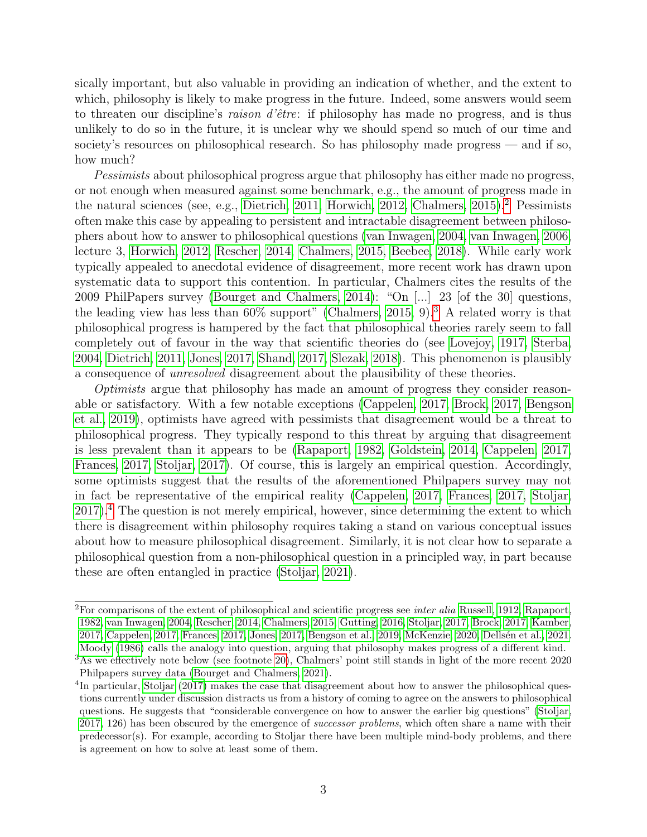sically important, but also valuable in providing an indication of whether, and the extent to which, philosophy is likely to make progress in the future. Indeed, some answers would seem to threaten our discipline's raison d'être: if philosophy has made no progress, and is thus unlikely to do so in the future, it is unclear why we should spend so much of our time and society's resources on philosophical research. So has philosophy made progress — and if so, how much?

Pessimists about philosophical progress argue that philosophy has either made no progress, or not enough when measured against some benchmark, e.g., the amount of progress made in the natural sciences (see, e.g., [Dietrich, 2011,](#page-24-0) [Horwich, 2012,](#page-25-0) [Chalmers, 2015\)](#page-24-1).<sup>[2](#page-0-0)</sup> Pessimists often make this case by appealing to persistent and intractable disagreement between philosophers about how to answer to philosophical questions [\(van Inwagen, 2004,](#page-27-3) [van Inwagen, 2006,](#page-27-4) lecture 3, [Horwich, 2012,](#page-25-0) [Rescher, 2014,](#page-27-0) [Chalmers, 2015,](#page-24-1) [Beebee, 2018\)](#page-23-0). While early work typically appealed to anecdotal evidence of disagreement, more recent work has drawn upon systematic data to support this contention. In particular, Chalmers cites the results of the 2009 PhilPapers survey [\(Bourget and Chalmers, 2014\)](#page-23-1): "On [...] 23 [of the 30] questions, the leading view has less than  $60\%$  support" (Chalmers,  $2015$ , 9).<sup>[3](#page-0-0)</sup> A related worry is that philosophical progress is hampered by the fact that philosophical theories rarely seem to fall completely out of favour in the way that scientific theories do (see [Lovejoy, 1917,](#page-26-0) [Sterba,](#page-27-5) [2004,](#page-27-5) [Dietrich, 2011,](#page-24-0) [Jones, 2017,](#page-25-2) [Shand, 2017,](#page-27-6) [Slezak, 2018\)](#page-27-7). This phenomenon is plausibly a consequence of unresolved disagreement about the plausibility of these theories.

Optimists argue that philosophy has made an amount of progress they consider reasonable or satisfactory. With a few notable exceptions [\(Cappelen, 2017,](#page-24-2) [Brock, 2017,](#page-24-3) [Bengson](#page-23-2) [et al., 2019\)](#page-23-2), optimists have agreed with pessimists that disagreement would be a threat to philosophical progress. They typically respond to this threat by arguing that disagreement is less prevalent than it appears to be [\(Rapaport, 1982,](#page-27-8) [Goldstein, 2014,](#page-25-3) [Cappelen, 2017,](#page-24-2) [Frances, 2017,](#page-25-1) [Stoljar, 2017\)](#page-27-1). Of course, this is largely an empirical question. Accordingly, some optimists suggest that the results of the aforementioned Philpapers survey may not in fact be representative of the empirical reality [\(Cappelen, 2017,](#page-24-2) [Frances, 2017,](#page-25-1) [Stoljar,](#page-27-1)  $2017$ ).<sup>[4](#page-0-0)</sup> The question is not merely empirical, however, since determining the extent to which there is disagreement within philosophy requires taking a stand on various conceptual issues about how to measure philosophical disagreement. Similarly, it is not clear how to separate a philosophical question from a non-philosophical question in a principled way, in part because these are often entangled in practice [\(Stoljar, 2021\)](#page-27-9).

 ${}^{2}$ For comparisons of the extent of philosophical and scientific progress see *inter alia* [Russell, 1912,](#page-27-10) [Rapaport,](#page-27-8) [1982,](#page-27-8) [van Inwagen, 2004,](#page-27-3) [Rescher, 2014,](#page-27-0) [Chalmers, 2015,](#page-24-1) [Gutting, 2016,](#page-25-4) [Stoljar, 2017,](#page-27-1) [Brock, 2017,](#page-24-3) [Kamber,](#page-25-5) [2017,](#page-25-5) [Cappelen, 2017,](#page-24-2) [Frances, 2017,](#page-25-1) [Jones, 2017,](#page-25-2) [Bengson et al., 2019,](#page-23-2) [McKenzie, 2020,](#page-26-1) [Dells´en et al., 2021.](#page-24-4) [Moody](#page-26-2) [\(1986\)](#page-26-2) calls the analogy into question, arguing that philosophy makes progress of a different kind.

<sup>&</sup>lt;sup>3</sup>As we effectively note below (see footnote [20\)](#page-9-0), Chalmers' point still stands in light of the more recent 2020 Philpapers survey data [\(Bourget and Chalmers, 2021\)](#page-23-3).

<sup>&</sup>lt;sup>4</sup>In particular, [Stoljar](#page-27-1) [\(2017\)](#page-27-1) makes the case that disagreement about how to answer the philosophical questions currently under discussion distracts us from a history of coming to agree on the answers to philosophical questions. He suggests that "considerable convergence on how to answer the earlier big questions" [\(Stoljar,](#page-27-1) [2017,](#page-27-1) 126) has been obscured by the emergence of *successor problems*, which often share a name with their predecessor(s). For example, according to Stoljar there have been multiple mind-body problems, and there is agreement on how to solve at least some of them.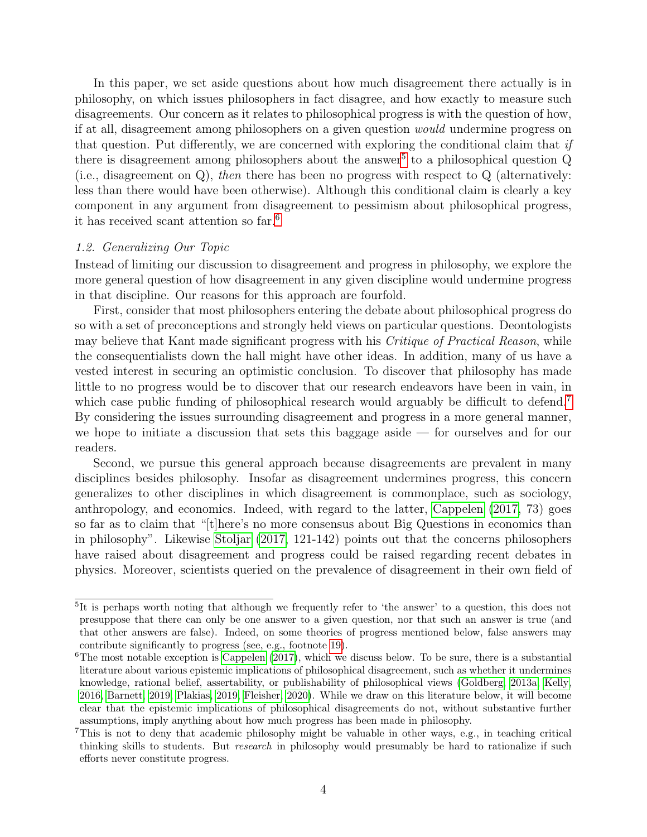In this paper, we set aside questions about how much disagreement there actually is in philosophy, on which issues philosophers in fact disagree, and how exactly to measure such disagreements. Our concern as it relates to philosophical progress is with the question of how, if at all, disagreement among philosophers on a given question would undermine progress on that question. Put differently, we are concerned with exploring the conditional claim that if there is disagreement among philosophers about the answer<sup>[5](#page-0-0)</sup> to a philosophical question  $Q$ (i.e., disagreement on Q), then there has been no progress with respect to Q (alternatively: less than there would have been otherwise). Although this conditional claim is clearly a key component in any argument from disagreement to pessimism about philosophical progress, it has received scant attention so far.[6](#page-0-0)

#### <span id="page-3-0"></span>1.2. Generalizing Our Topic

Instead of limiting our discussion to disagreement and progress in philosophy, we explore the more general question of how disagreement in any given discipline would undermine progress in that discipline. Our reasons for this approach are fourfold.

First, consider that most philosophers entering the debate about philosophical progress do so with a set of preconceptions and strongly held views on particular questions. Deontologists may believe that Kant made significant progress with his *Critique of Practical Reason*, while the consequentialists down the hall might have other ideas. In addition, many of us have a vested interest in securing an optimistic conclusion. To discover that philosophy has made little to no progress would be to discover that our research endeavors have been in vain, in which case public funding of philosophical research would arguably be difficult to defend.<sup>[7](#page-0-0)</sup> By considering the issues surrounding disagreement and progress in a more general manner, we hope to initiate a discussion that sets this baggage aside — for ourselves and for our readers.

Second, we pursue this general approach because disagreements are prevalent in many disciplines besides philosophy. Insofar as disagreement undermines progress, this concern generalizes to other disciplines in which disagreement is commonplace, such as sociology, anthropology, and economics. Indeed, with regard to the latter, [Cappelen](#page-24-2) [\(2017,](#page-24-2) 73) goes so far as to claim that "[t]here's no more consensus about Big Questions in economics than in philosophy". Likewise [Stoljar](#page-27-1) [\(2017,](#page-27-1) 121-142) points out that the concerns philosophers have raised about disagreement and progress could be raised regarding recent debates in physics. Moreover, scientists queried on the prevalence of disagreement in their own field of

<sup>&</sup>lt;sup>5</sup>It is perhaps worth noting that although we frequently refer to 'the answer' to a question, this does not presuppose that there can only be one answer to a given question, nor that such an answer is true (and that other answers are false). Indeed, on some theories of progress mentioned below, false answers may contribute significantly to progress (see, e.g., footnote [19\)](#page-9-0).

 ${}^{6}$ The most notable exception is [Cappelen](#page-24-2) [\(2017\)](#page-24-2), which we discuss below. To be sure, there is a substantial literature about various epistemic implications of philosophical disagreement, such as whether it undermines knowledge, rational belief, assertability, or publishability of philosophical views [\(Goldberg, 2013a,](#page-25-6) [Kelly,](#page-26-3) [2016,](#page-26-3) [Barnett, 2019,](#page-23-4) [Plakias, 2019,](#page-27-11) [Fleisher, 2020\)](#page-25-7). While we draw on this literature below, it will become clear that the epistemic implications of philosophical disagreements do not, without substantive further assumptions, imply anything about how much progress has been made in philosophy.

<sup>7</sup>This is not to deny that academic philosophy might be valuable in other ways, e.g., in teaching critical thinking skills to students. But research in philosophy would presumably be hard to rationalize if such efforts never constitute progress.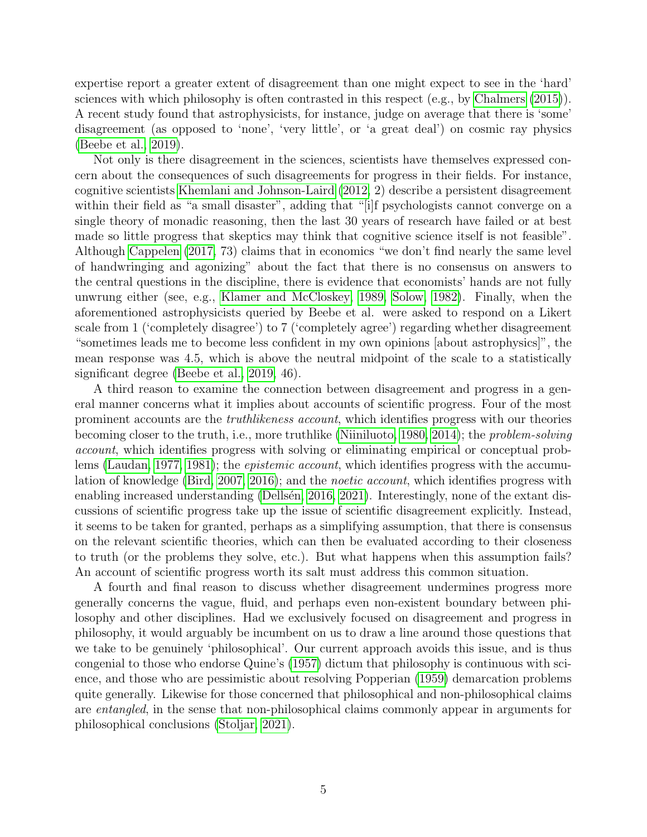expertise report a greater extent of disagreement than one might expect to see in the 'hard' sciences with which philosophy is often contrasted in this respect (e.g., by [Chalmers](#page-24-1) [\(2015\)](#page-24-1)). A recent study found that astrophysicists, for instance, judge on average that there is 'some' disagreement (as opposed to 'none', 'very little', or 'a great deal') on cosmic ray physics [\(Beebe et al., 2019\)](#page-23-5).

Not only is there disagreement in the sciences, scientists have themselves expressed concern about the consequences of such disagreements for progress in their fields. For instance, cognitive scientists [Khemlani and Johnson-Laird](#page-26-4) [\(2012,](#page-26-4) 2) describe a persistent disagreement within their field as "a small disaster", adding that "[i]f psychologists cannot converge on a single theory of monadic reasoning, then the last 30 years of research have failed or at best made so little progress that skeptics may think that cognitive science itself is not feasible". Although [Cappelen](#page-24-2) [\(2017,](#page-24-2) 73) claims that in economics "we don't find nearly the same level of handwringing and agonizing" about the fact that there is no consensus on answers to the central questions in the discipline, there is evidence that economists' hands are not fully unwrung either (see, e.g., [Klamer and McCloskey, 1989,](#page-26-5) [Solow, 1982\)](#page-27-12). Finally, when the aforementioned astrophysicists queried by Beebe et al. were asked to respond on a Likert scale from 1 ('completely disagree') to 7 ('completely agree') regarding whether disagreement "sometimes leads me to become less confident in my own opinions [about astrophysics]", the mean response was 4.5, which is above the neutral midpoint of the scale to a statistically significant degree [\(Beebe et al., 2019,](#page-23-5) 46).

A third reason to examine the connection between disagreement and progress in a general manner concerns what it implies about accounts of scientific progress. Four of the most prominent accounts are the truthlikeness account, which identifies progress with our theories becoming closer to the truth, i.e., more truthlike [\(Niiniluoto, 1980,](#page-26-6) [2014\)](#page-26-7); the problem-solving account, which identifies progress with solving or eliminating empirical or conceptual problems [\(Laudan, 1977,](#page-26-8) [1981\)](#page-26-9); the epistemic account, which identifies progress with the accumu-lation of knowledge [\(Bird, 2007,](#page-23-6) [2016\)](#page-23-7); and the *noetic account*, which identifies progress with enabling increased understanding (Dellsén, 2016, [2021\)](#page-24-6). Interestingly, none of the extant discussions of scientific progress take up the issue of scientific disagreement explicitly. Instead, it seems to be taken for granted, perhaps as a simplifying assumption, that there is consensus on the relevant scientific theories, which can then be evaluated according to their closeness to truth (or the problems they solve, etc.). But what happens when this assumption fails? An account of scientific progress worth its salt must address this common situation.

A fourth and final reason to discuss whether disagreement undermines progress more generally concerns the vague, fluid, and perhaps even non-existent boundary between philosophy and other disciplines. Had we exclusively focused on disagreement and progress in philosophy, it would arguably be incumbent on us to draw a line around those questions that we take to be genuinely 'philosophical'. Our current approach avoids this issue, and is thus congenial to those who endorse Quine's [\(1957\)](#page-27-13) dictum that philosophy is continuous with science, and those who are pessimistic about resolving Popperian [\(1959\)](#page-27-14) demarcation problems quite generally. Likewise for those concerned that philosophical and non-philosophical claims are entangled, in the sense that non-philosophical claims commonly appear in arguments for philosophical conclusions [\(Stoljar, 2021\)](#page-27-9).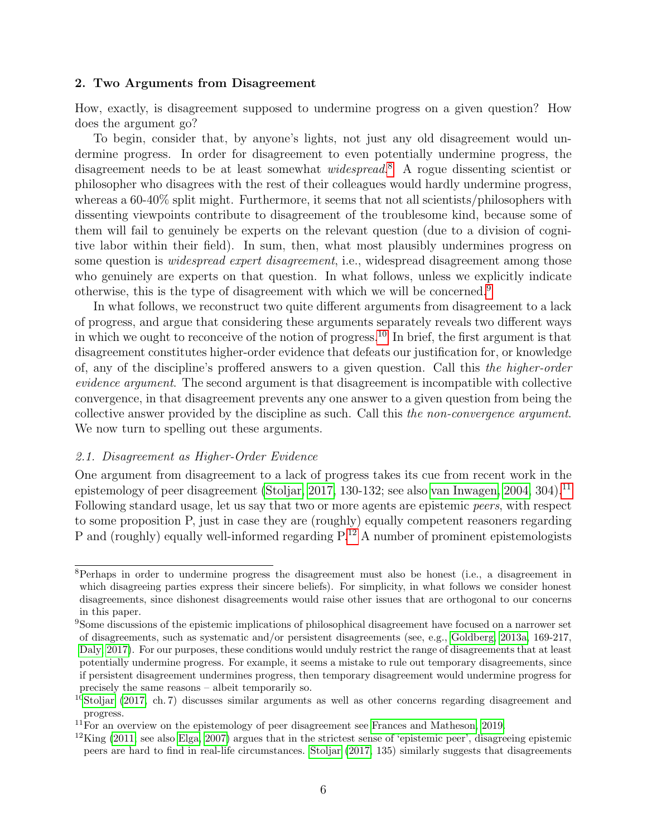#### 2. Two Arguments from Disagreement

How, exactly, is disagreement supposed to undermine progress on a given question? How does the argument go?

To begin, consider that, by anyone's lights, not just any old disagreement would undermine progress. In order for disagreement to even potentially undermine progress, the disagreement needs to be at least somewhat *widespread*.<sup>[8](#page-0-0)</sup> A rogue dissenting scientist or philosopher who disagrees with the rest of their colleagues would hardly undermine progress, whereas a 60-40% split might. Furthermore, it seems that not all scientists/philosophers with dissenting viewpoints contribute to disagreement of the troublesome kind, because some of them will fail to genuinely be experts on the relevant question (due to a division of cognitive labor within their field). In sum, then, what most plausibly undermines progress on some question is *widespread expert disagreement*, i.e., widespread disagreement among those who genuinely are experts on that question. In what follows, unless we explicitly indicate otherwise, this is the type of disagreement with which we will be concerned.[9](#page-0-0)

In what follows, we reconstruct two quite different arguments from disagreement to a lack of progress, and argue that considering these arguments separately reveals two different ways in which we ought to reconceive of the notion of progress.<sup>[10](#page-0-0)</sup> In brief, the first argument is that disagreement constitutes higher-order evidence that defeats our justification for, or knowledge of, any of the discipline's proffered answers to a given question. Call this the higher-order evidence argument. The second argument is that disagreement is incompatible with collective convergence, in that disagreement prevents any one answer to a given question from being the collective answer provided by the discipline as such. Call this the non-convergence argument. We now turn to spelling out these arguments.

#### <span id="page-5-0"></span>2.1. Disagreement as Higher-Order Evidence

One argument from disagreement to a lack of progress takes its cue from recent work in the epistemology of peer disagreement [\(Stoljar, 2017,](#page-27-1) 130-132; see also [van Inwagen, 2004,](#page-27-3) 304).<sup>[11](#page-0-0)</sup> Following standard usage, let us say that two or more agents are epistemic peers, with respect to some proposition P, just in case they are (roughly) equally competent reasoners regarding P and (roughly) equally well-informed regarding  $P^{12}$  $P^{12}$  $P^{12}$  A number of prominent epistemologists

<sup>8</sup>Perhaps in order to undermine progress the disagreement must also be honest (i.e., a disagreement in which disagreeing parties express their sincere beliefs). For simplicity, in what follows we consider honest disagreements, since dishonest disagreements would raise other issues that are orthogonal to our concerns in this paper.

<sup>&</sup>lt;sup>9</sup>Some discussions of the epistemic implications of philosophical disagreement have focused on a narrower set of disagreements, such as systematic and/or persistent disagreements (see, e.g., [Goldberg, 2013a,](#page-25-6) 169-217, [Daly, 2017\)](#page-24-7). For our purposes, these conditions would unduly restrict the range of disagreements that at least potentially undermine progress. For example, it seems a mistake to rule out temporary disagreements, since if persistent disagreement undermines progress, then temporary disagreement would undermine progress for precisely the same reasons – albeit temporarily so.

<sup>&</sup>lt;sup>10</sup>[Stoljar](#page-27-1) [\(2017,](#page-27-1) ch. 7) discusses similar arguments as well as other concerns regarding disagreement and progress.

 $11$ For an overview on the epistemology of peer disagreement see [Frances and Matheson, 2019.](#page-25-8)

 $12$ King [\(2011;](#page-26-10) see also [Elga, 2007\)](#page-24-8) argues that in the strictest sense of 'epistemic peer', disagreeing epistemic peers are hard to find in real-life circumstances. [Stoljar](#page-27-1) [\(2017,](#page-27-1) 135) similarly suggests that disagreements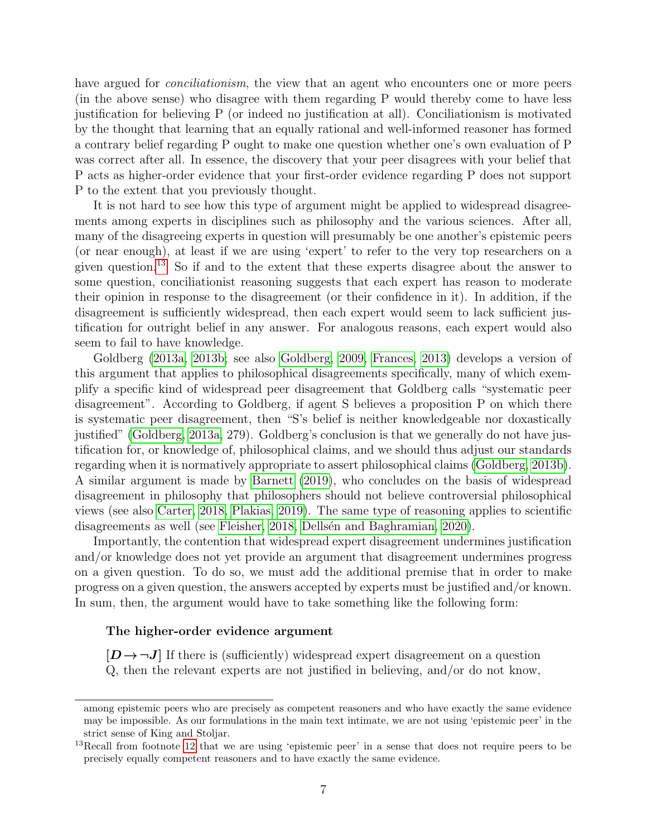have argued for *conciliationism*, the view that an agent who encounters one or more peers (in the above sense) who disagree with them regarding P would thereby come to have less justification for believing P (or indeed no justification at all). Conciliationism is motivated by the thought that learning that an equally rational and well-informed reasoner has formed a contrary belief regarding P ought to make one question whether one's own evaluation of P was correct after all. In essence, the discovery that your peer disagrees with your belief that P acts as higher-order evidence that your first-order evidence regarding P does not support P to the extent that you previously thought.

It is not hard to see how this type of argument might be applied to widespread disagreements among experts in disciplines such as philosophy and the various sciences. After all, many of the disagreeing experts in question will presumably be one another's epistemic peers (or near enough), at least if we are using 'expert' to refer to the very top researchers on a given question.[13](#page-0-0) So if and to the extent that these experts disagree about the answer to some question, conciliationist reasoning suggests that each expert has reason to moderate their opinion in response to the disagreement (or their confidence in it). In addition, if the disagreement is sufficiently widespread, then each expert would seem to lack sufficient justification for outright belief in any answer. For analogous reasons, each expert would also seem to fail to have knowledge.

Goldberg [\(2013a,](#page-25-6) [2013b;](#page-25-9) see also [Goldberg, 2009,](#page-25-10) [Frances, 2013\)](#page-25-11) develops a version of this argument that applies to philosophical disagreements specifically, many of which exemplify a specific kind of widespread peer disagreement that Goldberg calls "systematic peer disagreement". According to Goldberg, if agent S believes a proposition P on which there is systematic peer disagreement, then "S's belief is neither knowledgeable nor doxastically justified" [\(Goldberg, 2013a,](#page-25-6) 279). Goldberg's conclusion is that we generally do not have justification for, or knowledge of, philosophical claims, and we should thus adjust our standards regarding when it is normatively appropriate to assert philosophical claims [\(Goldberg, 2013b\)](#page-25-9). A similar argument is made by [Barnett](#page-23-4) [\(2019\)](#page-23-4), who concludes on the basis of widespread disagreement in philosophy that philosophers should not believe controversial philosophical views (see also [Carter, 2018,](#page-24-9) [Plakias, 2019\)](#page-27-11). The same type of reasoning applies to scientific disagreements as well (see [Fleisher, 2018,](#page-24-10) Dellsen and Baghramian, 2020).

Importantly, the contention that widespread expert disagreement undermines justification and/or knowledge does not yet provide an argument that disagreement undermines progress on a given question. To do so, we must add the additional premise that in order to make progress on a given question, the answers accepted by experts must be justified and/or known. In sum, then, the argument would have to take something like the following form:

#### The higher-order evidence argument

 $[D \rightarrow \neg J]$  If there is (sufficiently) widespread expert disagreement on a question Q, then the relevant experts are not justified in believing, and/or do not know,

among epistemic peers who are precisely as competent reasoners and who have exactly the same evidence may be impossible. As our formulations in the main text intimate, we are not using 'epistemic peer' in the strict sense of King and Stoljar.

<sup>&</sup>lt;sup>13</sup>Recall from footnote [12](#page-5-0) that we are using 'epistemic peer' in a sense that does not require peers to be precisely equally competent reasoners and to have exactly the same evidence.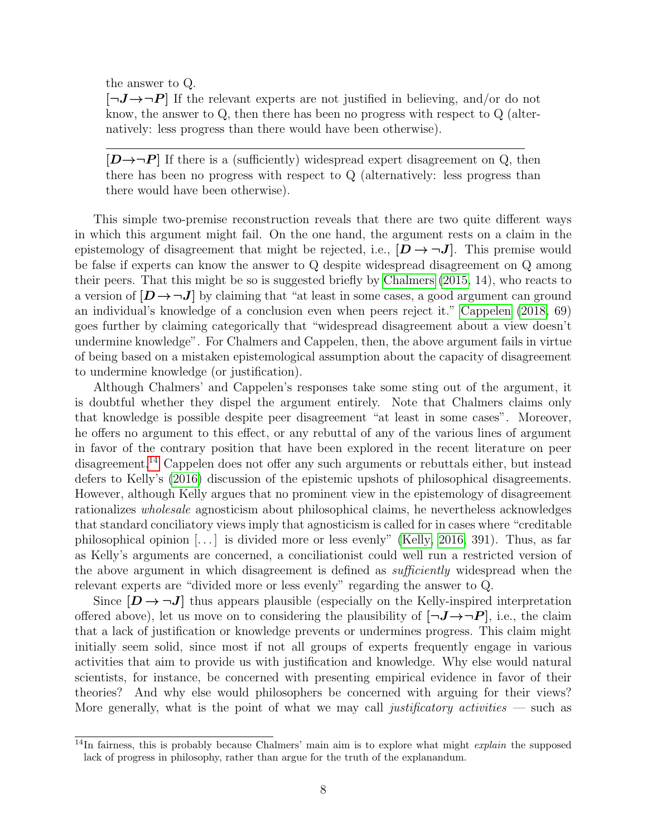the answer to Q.

 $[\neg J \rightarrow \neg P]$  If the relevant experts are not justified in believing, and/or do not know, the answer to Q, then there has been no progress with respect to Q (alternatively: less progress than there would have been otherwise).

 $[D\rightarrow\neg P]$  If there is a (sufficiently) widespread expert disagreement on Q, then there has been no progress with respect to Q (alternatively: less progress than there would have been otherwise).

This simple two-premise reconstruction reveals that there are two quite different ways in which this argument might fail. On the one hand, the argument rests on a claim in the epistemology of disagreement that might be rejected, i.e.,  $[D \rightarrow \neg J]$ . This premise would be false if experts can know the answer to Q despite widespread disagreement on Q among their peers. That this might be so is suggested briefly by [Chalmers](#page-24-1) [\(2015,](#page-24-1) 14), who reacts to a version of  $[D \rightarrow \neg J]$  by claiming that "at least in some cases, a good argument can ground an individual's knowledge of a conclusion even when peers reject it." [Cappelen](#page-24-12) [\(2018,](#page-24-12) 69) goes further by claiming categorically that "widespread disagreement about a view doesn't undermine knowledge". For Chalmers and Cappelen, then, the above argument fails in virtue of being based on a mistaken epistemological assumption about the capacity of disagreement to undermine knowledge (or justification).

Although Chalmers' and Cappelen's responses take some sting out of the argument, it is doubtful whether they dispel the argument entirely. Note that Chalmers claims only that knowledge is possible despite peer disagreement "at least in some cases". Moreover, he offers no argument to this effect, or any rebuttal of any of the various lines of argument in favor of the contrary position that have been explored in the recent literature on peer disagreement.[14](#page-0-0) Cappelen does not offer any such arguments or rebuttals either, but instead defers to Kelly's [\(2016\)](#page-26-3) discussion of the epistemic upshots of philosophical disagreements. However, although Kelly argues that no prominent view in the epistemology of disagreement rationalizes wholesale agnosticism about philosophical claims, he nevertheless acknowledges that standard conciliatory views imply that agnosticism is called for in cases where "creditable philosophical opinion [. . . ] is divided more or less evenly" [\(Kelly, 2016,](#page-26-3) 391). Thus, as far as Kelly's arguments are concerned, a conciliationist could well run a restricted version of the above argument in which disagreement is defined as *sufficiently* widespread when the relevant experts are "divided more or less evenly" regarding the answer to Q.

Since  $[D \to \neg J]$  thus appears plausible (especially on the Kelly-inspired interpretation offered above), let us move on to considering the plausibility of  $[\neg J \rightarrow \neg P]$ , i.e., the claim that a lack of justification or knowledge prevents or undermines progress. This claim might initially seem solid, since most if not all groups of experts frequently engage in various activities that aim to provide us with justification and knowledge. Why else would natural scientists, for instance, be concerned with presenting empirical evidence in favor of their theories? And why else would philosophers be concerned with arguing for their views? More generally, what is the point of what we may call justificatory activities  $\sim$  such as

 $14$ In fairness, this is probably because Chalmers' main aim is to explore what might *explain* the supposed lack of progress in philosophy, rather than argue for the truth of the explanandum.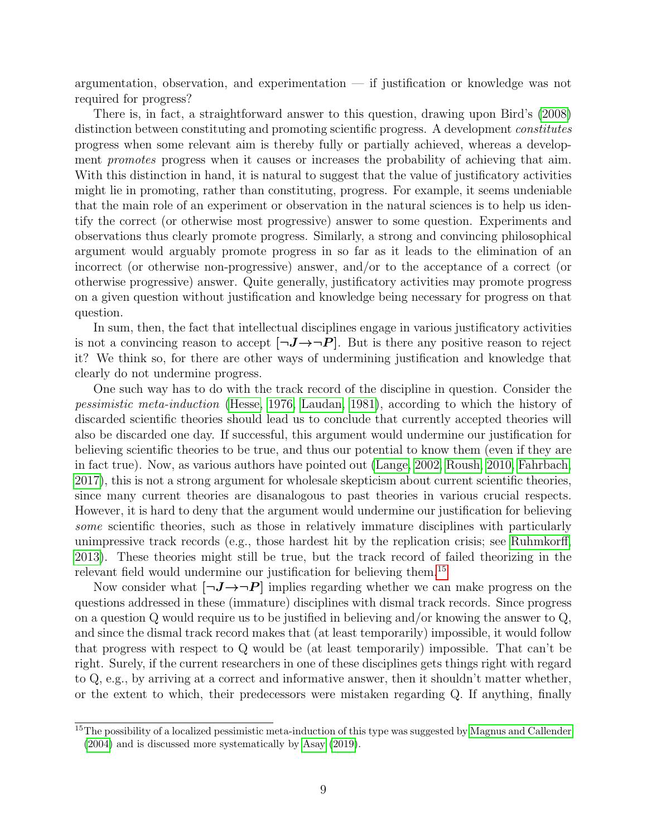argumentation, observation, and experimentation — if justification or knowledge was not required for progress?

There is, in fact, a straightforward answer to this question, drawing upon Bird's [\(2008\)](#page-23-8) distinction between constituting and promoting scientific progress. A development *constitutes* progress when some relevant aim is thereby fully or partially achieved, whereas a development *promotes* progress when it causes or increases the probability of achieving that aim. With this distinction in hand, it is natural to suggest that the value of justificatory activities might lie in promoting, rather than constituting, progress. For example, it seems undeniable that the main role of an experiment or observation in the natural sciences is to help us identify the correct (or otherwise most progressive) answer to some question. Experiments and observations thus clearly promote progress. Similarly, a strong and convincing philosophical argument would arguably promote progress in so far as it leads to the elimination of an incorrect (or otherwise non-progressive) answer, and/or to the acceptance of a correct (or otherwise progressive) answer. Quite generally, justificatory activities may promote progress on a given question without justification and knowledge being necessary for progress on that question.

In sum, then, the fact that intellectual disciplines engage in various justificatory activities is not a convincing reason to accept  $[\neg J \rightarrow \neg P]$ . But is there any positive reason to reject it? We think so, for there are other ways of undermining justification and knowledge that clearly do not undermine progress.

One such way has to do with the track record of the discipline in question. Consider the pessimistic meta-induction [\(Hesse, 1976,](#page-25-12) [Laudan, 1981\)](#page-26-9), according to which the history of discarded scientific theories should lead us to conclude that currently accepted theories will also be discarded one day. If successful, this argument would undermine our justification for believing scientific theories to be true, and thus our potential to know them (even if they are in fact true). Now, as various authors have pointed out [\(Lange, 2002,](#page-26-11) [Roush, 2010,](#page-27-15) [Fahrbach,](#page-24-13) [2017\)](#page-24-13), this is not a strong argument for wholesale skepticism about current scientific theories, since many current theories are disanalogous to past theories in various crucial respects. However, it is hard to deny that the argument would undermine our justification for believing some scientific theories, such as those in relatively immature disciplines with particularly unimpressive track records (e.g., those hardest hit by the replication crisis; see [Ruhmkorff,](#page-27-16) [2013\)](#page-27-16). These theories might still be true, but the track record of failed theorizing in the relevant field would undermine our justification for believing them.<sup>[15](#page-0-0)</sup>

Now consider what  $[\neg J \rightarrow \neg P]$  implies regarding whether we can make progress on the questions addressed in these (immature) disciplines with dismal track records. Since progress on a question Q would require us to be justified in believing and/or knowing the answer to Q, and since the dismal track record makes that (at least temporarily) impossible, it would follow that progress with respect to Q would be (at least temporarily) impossible. That can't be right. Surely, if the current researchers in one of these disciplines gets things right with regard to Q, e.g., by arriving at a correct and informative answer, then it shouldn't matter whether, or the extent to which, their predecessors were mistaken regarding Q. If anything, finally

<sup>&</sup>lt;sup>15</sup>The possibility of a localized pessimistic meta-induction of this type was suggested by [Magnus and Callender](#page-26-12) [\(2004\)](#page-26-12) and is discussed more systematically by [Asay](#page-23-9) [\(2019\)](#page-23-9).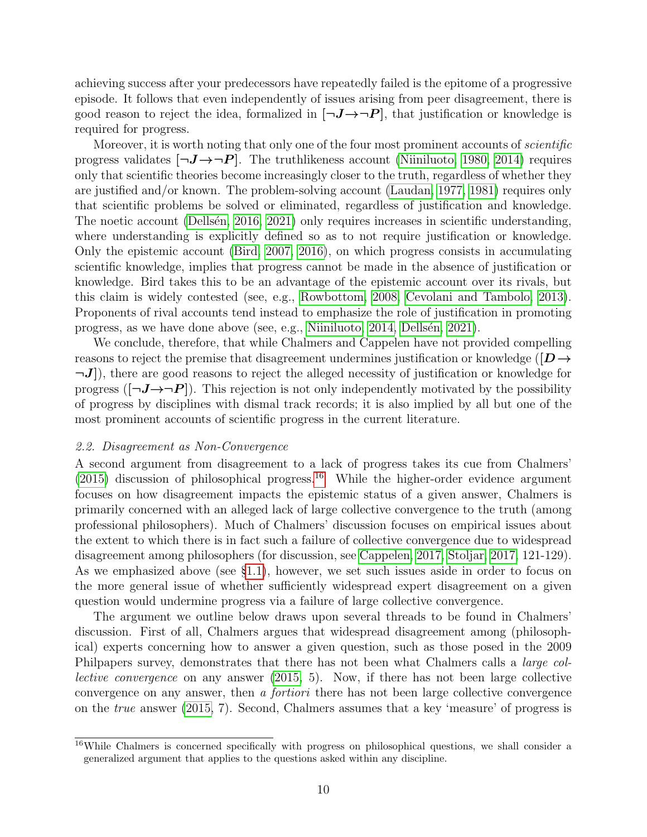achieving success after your predecessors have repeatedly failed is the epitome of a progressive episode. It follows that even independently of issues arising from peer disagreement, there is good reason to reject the idea, formalized in  $[\neg J \rightarrow \neg P]$ , that justification or knowledge is required for progress.

Moreover, it is worth noting that only one of the four most prominent accounts of *scientific* progress validates  $\neg J \rightarrow \neg P$ . The truthlikeness account [\(Niiniluoto, 1980,](#page-26-6) [2014\)](#page-26-7) requires only that scientific theories become increasingly closer to the truth, regardless of whether they are justified and/or known. The problem-solving account [\(Laudan, 1977,](#page-26-8) [1981\)](#page-26-9) requires only that scientific problems be solved or eliminated, regardless of justification and knowledge. The noetic account (Dellsen, 2016, [2021\)](#page-24-6) only requires increases in scientific understanding, where understanding is explicitly defined so as to not require justification or knowledge. Only the epistemic account [\(Bird, 2007,](#page-23-6) [2016\)](#page-23-7), on which progress consists in accumulating scientific knowledge, implies that progress cannot be made in the absence of justification or knowledge. Bird takes this to be an advantage of the epistemic account over its rivals, but this claim is widely contested (see, e.g., [Rowbottom, 2008,](#page-27-17) [Cevolani and Tambolo, 2013\)](#page-24-14). Proponents of rival accounts tend instead to emphasize the role of justification in promoting progress, as we have done above (see, e.g., [Niiniluoto, 2014,](#page-26-7) [Dells´en, 2021\)](#page-24-6).

We conclude, therefore, that while Chalmers and Cappelen have not provided compelling reasons to reject the premise that disagreement undermines justification or knowledge ( $[D\rightarrow$  $\neg J$ ), there are good reasons to reject the alleged necessity of justification or knowledge for progress ( $[\neg J \rightarrow \neg P]$ ). This rejection is not only independently motivated by the possibility of progress by disciplines with dismal track records; it is also implied by all but one of the most prominent accounts of scientific progress in the current literature.

#### <span id="page-9-0"></span>2.2. Disagreement as Non-Convergence

A second argument from disagreement to a lack of progress takes its cue from Chalmers'  $(2015)$  discussion of philosophical progress.<sup>[16](#page-0-0)</sup> While the higher-order evidence argument focuses on how disagreement impacts the epistemic status of a given answer, Chalmers is primarily concerned with an alleged lack of large collective convergence to the truth (among professional philosophers). Much of Chalmers' discussion focuses on empirical issues about the extent to which there is in fact such a failure of collective convergence due to widespread disagreement among philosophers (for discussion, see [Cappelen, 2017,](#page-24-2) [Stoljar, 2017,](#page-27-1) 121-129). As we emphasized above (see §[1.1\)](#page-1-0), however, we set such issues aside in order to focus on the more general issue of whether sufficiently widespread expert disagreement on a given question would undermine progress via a failure of large collective convergence.

The argument we outline below draws upon several threads to be found in Chalmers' discussion. First of all, Chalmers argues that widespread disagreement among (philosophical) experts concerning how to answer a given question, such as those posed in the 2009 Philpapers survey, demonstrates that there has not been what Chalmers calls a *large col*lective convergence on any answer [\(2015,](#page-24-1) 5). Now, if there has not been large collective convergence on any answer, then a fortiori there has not been large collective convergence on the true answer [\(2015,](#page-24-1) 7). Second, Chalmers assumes that a key 'measure' of progress is

<sup>16</sup>While Chalmers is concerned specifically with progress on philosophical questions, we shall consider a generalized argument that applies to the questions asked within any discipline.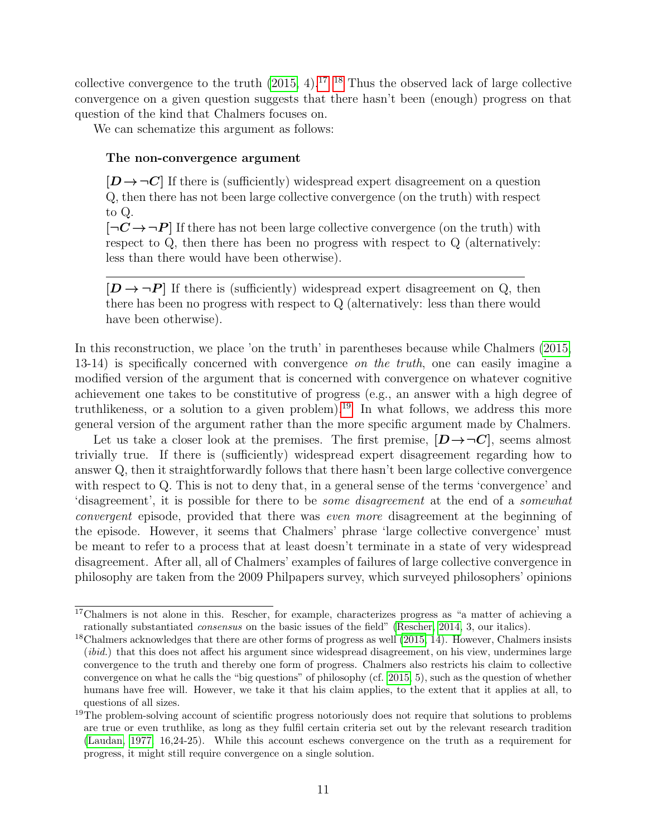collective convergence to the truth  $(2015, 4)$  $(2015, 4)$ .<sup>[17, 18](#page-0-0)</sup> Thus the observed lack of large collective convergence on a given question suggests that there hasn't been (enough) progress on that question of the kind that Chalmers focuses on.

We can schematize this argument as follows:

### The non-convergence argument

 $[D \rightarrow \neg C]$  If there is (sufficiently) widespread expert disagreement on a question Q, then there has not been large collective convergence (on the truth) with respect to Q.

 $\left[\neg C \rightarrow \neg P\right]$  If there has not been large collective convergence (on the truth) with respect to Q, then there has been no progress with respect to Q (alternatively: less than there would have been otherwise).

 $[D \rightarrow \neg P]$  If there is (sufficiently) widespread expert disagreement on Q, then there has been no progress with respect to Q (alternatively: less than there would have been otherwise).

In this reconstruction, we place 'on the truth' in parentheses because while Chalmers [\(2015,](#page-24-1) 13-14) is specifically concerned with convergence on the truth, one can easily imagine a modified version of the argument that is concerned with convergence on whatever cognitive achievement one takes to be constitutive of progress (e.g., an answer with a high degree of truthlikeness, or a solution to a given problem).<sup>[19](#page-0-0)</sup> In what follows, we address this more general version of the argument rather than the more specific argument made by Chalmers.

Let us take a closer look at the premises. The first premise,  $[D \rightarrow \neg C]$ , seems almost trivially true. If there is (sufficiently) widespread expert disagreement regarding how to answer Q, then it straightforwardly follows that there hasn't been large collective convergence with respect to Q. This is not to deny that, in a general sense of the terms 'convergence' and 'disagreement', it is possible for there to be some disagreement at the end of a somewhat convergent episode, provided that there was even more disagreement at the beginning of the episode. However, it seems that Chalmers' phrase 'large collective convergence' must be meant to refer to a process that at least doesn't terminate in a state of very widespread disagreement. After all, all of Chalmers' examples of failures of large collective convergence in philosophy are taken from the 2009 Philpapers survey, which surveyed philosophers' opinions

<sup>&</sup>lt;sup>17</sup>Chalmers is not alone in this. Rescher, for example, characterizes progress as "a matter of achieving a rationally substantiated consensus on the basic issues of the field" [\(Rescher, 2014,](#page-27-0) 3, our italics).

 $18$ Chalmers acknowledges that there are other forms of progress as well [\(2015,](#page-24-1) 14). However, Chalmers insists (*ibid.*) that this does not affect his argument since widespread disagreement, on his view, undermines large convergence to the truth and thereby one form of progress. Chalmers also restricts his claim to collective convergence on what he calls the "big questions" of philosophy (cf. [2015,](#page-24-1) 5), such as the question of whether humans have free will. However, we take it that his claim applies, to the extent that it applies at all, to questions of all sizes.

<sup>&</sup>lt;sup>19</sup>The problem-solving account of scientific progress notoriously does not require that solutions to problems are true or even truthlike, as long as they fulfil certain criteria set out by the relevant research tradition [\(Laudan, 1977,](#page-26-8) 16,24-25). While this account eschews convergence on the truth as a requirement for progress, it might still require convergence on a single solution.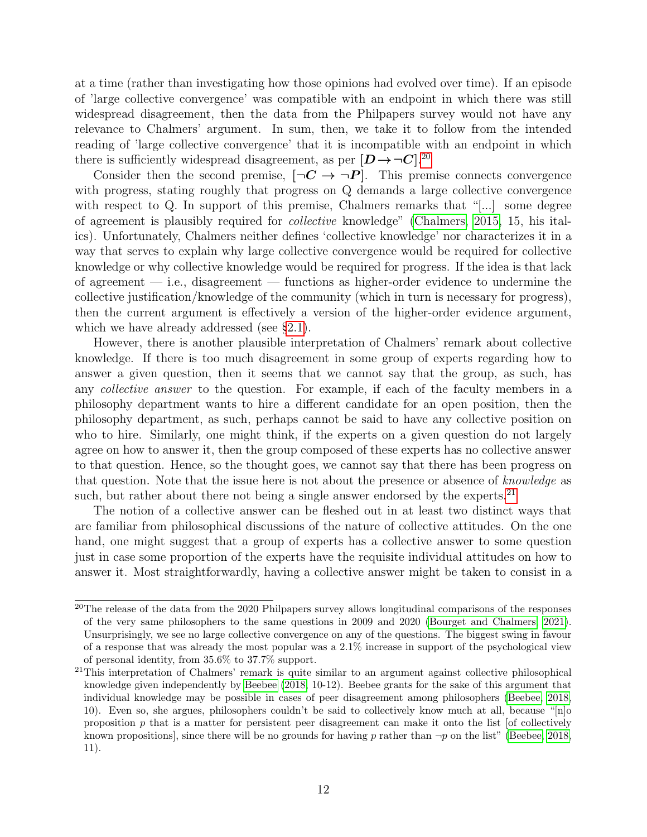at a time (rather than investigating how those opinions had evolved over time). If an episode of 'large collective convergence' was compatible with an endpoint in which there was still widespread disagreement, then the data from the Philpapers survey would not have any relevance to Chalmers' argument. In sum, then, we take it to follow from the intended reading of 'large collective convergence' that it is incompatible with an endpoint in which there is sufficiently widespread disagreement, as per  $[D \rightarrow \neg C]$ .<sup>[20](#page-0-0)</sup>

Consider then the second premise,  $\neg C \rightarrow \neg P$ . This premise connects convergence with progress, stating roughly that progress on Q demands a large collective convergence with respect to Q. In support of this premise, Chalmers remarks that "[...] some degree of agreement is plausibly required for collective knowledge" [\(Chalmers, 2015,](#page-24-1) 15, his italics). Unfortunately, Chalmers neither defines 'collective knowledge' nor characterizes it in a way that serves to explain why large collective convergence would be required for collective knowledge or why collective knowledge would be required for progress. If the idea is that lack of agreement — i.e., disagreement — functions as higher-order evidence to undermine the collective justification/knowledge of the community (which in turn is necessary for progress), then the current argument is effectively a version of the higher-order evidence argument, which we have already addressed (see §[2.1\)](#page-5-0).

However, there is another plausible interpretation of Chalmers' remark about collective knowledge. If there is too much disagreement in some group of experts regarding how to answer a given question, then it seems that we cannot say that the group, as such, has any collective answer to the question. For example, if each of the faculty members in a philosophy department wants to hire a different candidate for an open position, then the philosophy department, as such, perhaps cannot be said to have any collective position on who to hire. Similarly, one might think, if the experts on a given question do not largely agree on how to answer it, then the group composed of these experts has no collective answer to that question. Hence, so the thought goes, we cannot say that there has been progress on that question. Note that the issue here is not about the presence or absence of knowledge as such, but rather about there not being a single answer endorsed by the experts.<sup>[21](#page-0-0)</sup>

The notion of a collective answer can be fleshed out in at least two distinct ways that are familiar from philosophical discussions of the nature of collective attitudes. On the one hand, one might suggest that a group of experts has a collective answer to some question just in case some proportion of the experts have the requisite individual attitudes on how to answer it. Most straightforwardly, having a collective answer might be taken to consist in a

<sup>&</sup>lt;sup>20</sup>The release of the data from the 2020 Philpapers survey allows longitudinal comparisons of the responses of the very same philosophers to the same questions in 2009 and 2020 [\(Bourget and Chalmers, 2021\)](#page-23-3). Unsurprisingly, we see no large collective convergence on any of the questions. The biggest swing in favour of a response that was already the most popular was a 2.1% increase in support of the psychological view of personal identity, from 35.6% to 37.7% support.

<sup>&</sup>lt;sup>21</sup>This interpretation of Chalmers' remark is quite similar to an argument against collective philosophical knowledge given independently by [Beebee](#page-23-0) [\(2018,](#page-23-0) 10-12). Beebee grants for the sake of this argument that individual knowledge may be possible in cases of peer disagreement among philosophers [\(Beebee, 2018,](#page-23-0) 10). Even so, she argues, philosophers couldn't be said to collectively know much at all, because "[n]o proposition  $p$  that is a matter for persistent peer disagreement can make it onto the list [of collectively known propositions, since there will be no grounds for having p rather than  $\neg p$  on the list" [\(Beebee, 2018,](#page-23-0) 11).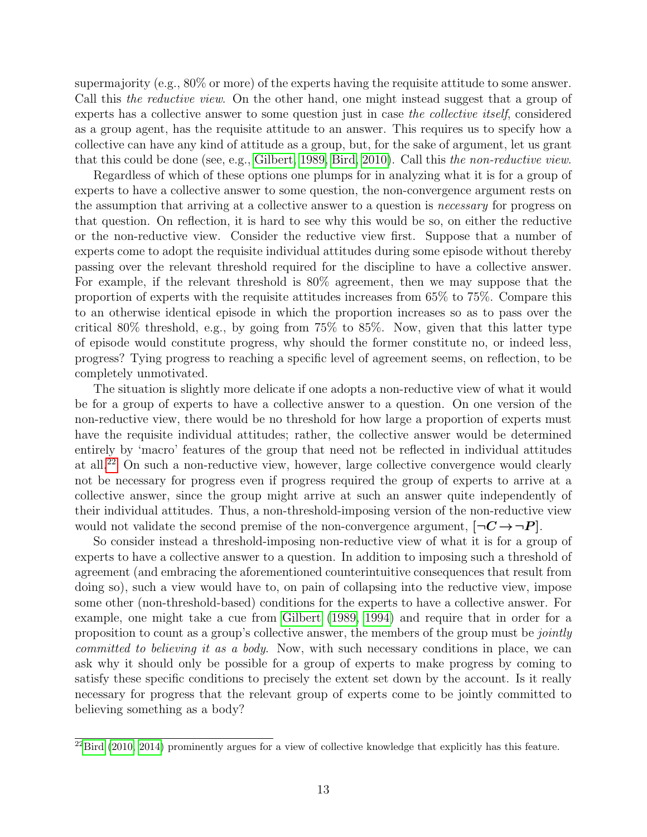supermajority (e.g., 80% or more) of the experts having the requisite attitude to some answer. Call this *the reductive view*. On the other hand, one might instead suggest that a group of experts has a collective answer to some question just in case the collective itself, considered as a group agent, has the requisite attitude to an answer. This requires us to specify how a collective can have any kind of attitude as a group, but, for the sake of argument, let us grant that this could be done (see, e.g., [Gilbert, 1989,](#page-25-13) [Bird, 2010\)](#page-23-10). Call this the non-reductive view.

Regardless of which of these options one plumps for in analyzing what it is for a group of experts to have a collective answer to some question, the non-convergence argument rests on the assumption that arriving at a collective answer to a question is *necessary* for progress on that question. On reflection, it is hard to see why this would be so, on either the reductive or the non-reductive view. Consider the reductive view first. Suppose that a number of experts come to adopt the requisite individual attitudes during some episode without thereby passing over the relevant threshold required for the discipline to have a collective answer. For example, if the relevant threshold is 80% agreement, then we may suppose that the proportion of experts with the requisite attitudes increases from 65% to 75%. Compare this to an otherwise identical episode in which the proportion increases so as to pass over the critical 80% threshold, e.g., by going from 75% to 85%. Now, given that this latter type of episode would constitute progress, why should the former constitute no, or indeed less, progress? Tying progress to reaching a specific level of agreement seems, on reflection, to be completely unmotivated.

The situation is slightly more delicate if one adopts a non-reductive view of what it would be for a group of experts to have a collective answer to a question. On one version of the non-reductive view, there would be no threshold for how large a proportion of experts must have the requisite individual attitudes; rather, the collective answer would be determined entirely by 'macro' features of the group that need not be reflected in individual attitudes at all.[22](#page-0-0) On such a non-reductive view, however, large collective convergence would clearly not be necessary for progress even if progress required the group of experts to arrive at a collective answer, since the group might arrive at such an answer quite independently of their individual attitudes. Thus, a non-threshold-imposing version of the non-reductive view would not validate the second premise of the non-convergence argument,  $|\neg C \rightarrow \neg P|$ .

So consider instead a threshold-imposing non-reductive view of what it is for a group of experts to have a collective answer to a question. In addition to imposing such a threshold of agreement (and embracing the aforementioned counterintuitive consequences that result from doing so), such a view would have to, on pain of collapsing into the reductive view, impose some other (non-threshold-based) conditions for the experts to have a collective answer. For example, one might take a cue from [Gilbert](#page-25-13) [\(1989,](#page-25-13) [1994\)](#page-25-14) and require that in order for a proposition to count as a group's collective answer, the members of the group must be *jointly* committed to believing it as a body. Now, with such necessary conditions in place, we can ask why it should only be possible for a group of experts to make progress by coming to satisfy these specific conditions to precisely the extent set down by the account. Is it really necessary for progress that the relevant group of experts come to be jointly committed to believing something as a body?

 $^{22}$ [Bird](#page-23-10) [\(2010,](#page-23-10) [2014\)](#page-23-11) prominently argues for a view of collective knowledge that explicitly has this feature.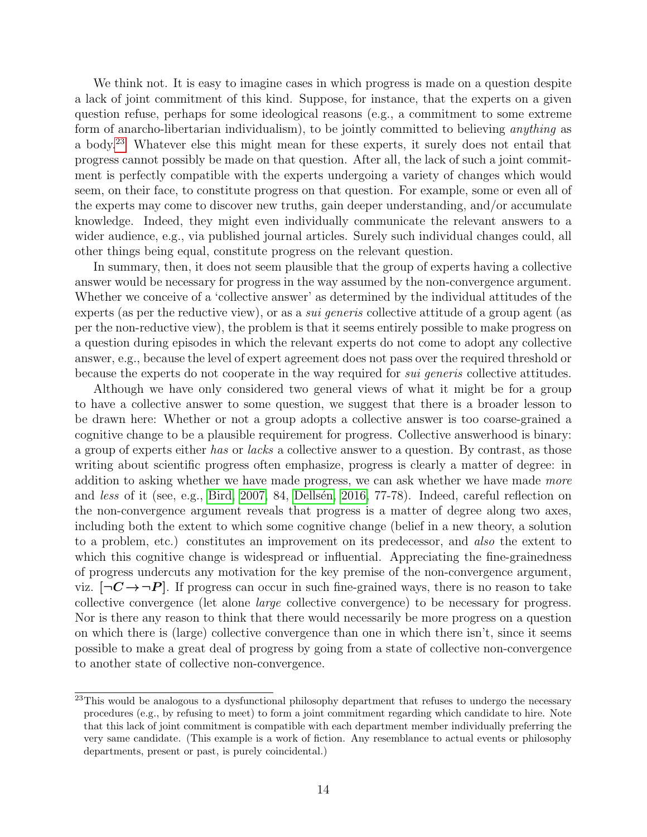We think not. It is easy to imagine cases in which progress is made on a question despite a lack of joint commitment of this kind. Suppose, for instance, that the experts on a given question refuse, perhaps for some ideological reasons (e.g., a commitment to some extreme form of anarcho-libertarian individualism), to be jointly committed to believing *anything* as a body.[23](#page-0-0) Whatever else this might mean for these experts, it surely does not entail that progress cannot possibly be made on that question. After all, the lack of such a joint commitment is perfectly compatible with the experts undergoing a variety of changes which would seem, on their face, to constitute progress on that question. For example, some or even all of the experts may come to discover new truths, gain deeper understanding, and/or accumulate knowledge. Indeed, they might even individually communicate the relevant answers to a wider audience, e.g., via published journal articles. Surely such individual changes could, all other things being equal, constitute progress on the relevant question.

In summary, then, it does not seem plausible that the group of experts having a collective answer would be necessary for progress in the way assumed by the non-convergence argument. Whether we conceive of a 'collective answer' as determined by the individual attitudes of the experts (as per the reductive view), or as a *sui generis* collective attitude of a group agent (as per the non-reductive view), the problem is that it seems entirely possible to make progress on a question during episodes in which the relevant experts do not come to adopt any collective answer, e.g., because the level of expert agreement does not pass over the required threshold or because the experts do not cooperate in the way required for *sui generis* collective attitudes.

Although we have only considered two general views of what it might be for a group to have a collective answer to some question, we suggest that there is a broader lesson to be drawn here: Whether or not a group adopts a collective answer is too coarse-grained a cognitive change to be a plausible requirement for progress. Collective answerhood is binary: a group of experts either has or lacks a collective answer to a question. By contrast, as those writing about scientific progress often emphasize, progress is clearly a matter of degree: in addition to asking whether we have made progress, we can ask whether we have made more and less of it (see, e.g., [Bird, 2007,](#page-23-6) 84, Dellsen, 2016, 77-78). Indeed, careful reflection on the non-convergence argument reveals that progress is a matter of degree along two axes, including both the extent to which some cognitive change (belief in a new theory, a solution to a problem, etc.) constitutes an improvement on its predecessor, and also the extent to which this cognitive change is widespread or influential. Appreciating the fine-grainedness of progress undercuts any motivation for the key premise of the non-convergence argument, viz.  $\neg C \rightarrow \neg P$ . If progress can occur in such fine-grained ways, there is no reason to take collective convergence (let alone large collective convergence) to be necessary for progress. Nor is there any reason to think that there would necessarily be more progress on a question on which there is (large) collective convergence than one in which there isn't, since it seems possible to make a great deal of progress by going from a state of collective non-convergence to another state of collective non-convergence.

<sup>&</sup>lt;sup>23</sup>This would be analogous to a dysfunctional philosophy department that refuses to undergo the necessary procedures (e.g., by refusing to meet) to form a joint commitment regarding which candidate to hire. Note that this lack of joint commitment is compatible with each department member individually preferring the very same candidate. (This example is a work of fiction. Any resemblance to actual events or philosophy departments, present or past, is purely coincidental.)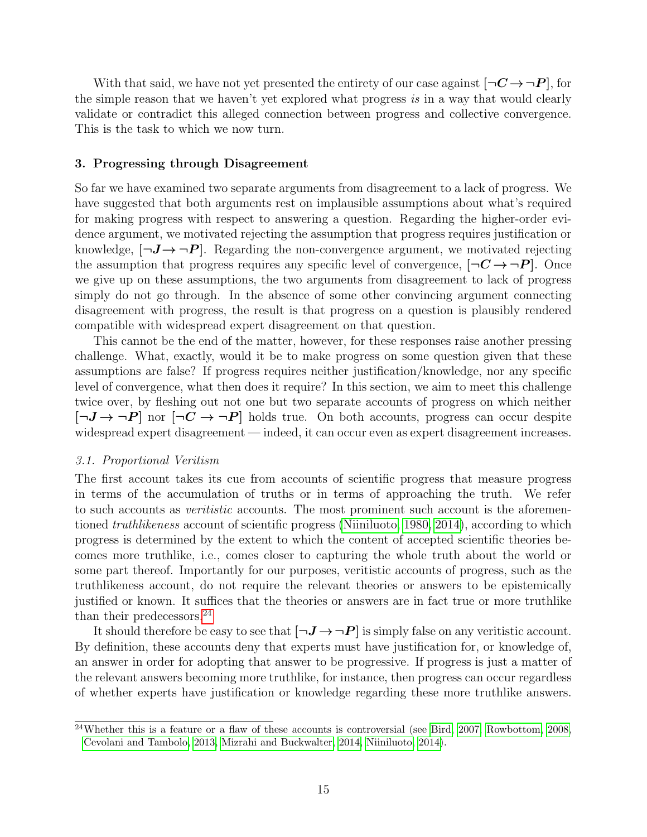With that said, we have not yet presented the entirety of our case against  $[\neg \mathbf{C} \rightarrow \neg \mathbf{P}]$ , for the simple reason that we haven't yet explored what progress is in a way that would clearly validate or contradict this alleged connection between progress and collective convergence. This is the task to which we now turn.

#### 3. Progressing through Disagreement

So far we have examined two separate arguments from disagreement to a lack of progress. We have suggested that both arguments rest on implausible assumptions about what's required for making progress with respect to answering a question. Regarding the higher-order evidence argument, we motivated rejecting the assumption that progress requires justification or knowledge,  $[\neg J \rightarrow \neg P]$ . Regarding the non-convergence argument, we motivated rejecting the assumption that progress requires any specific level of convergence,  $\neg \mathbf{C} \rightarrow \neg \mathbf{P}$ . Once we give up on these assumptions, the two arguments from disagreement to lack of progress simply do not go through. In the absence of some other convincing argument connecting disagreement with progress, the result is that progress on a question is plausibly rendered compatible with widespread expert disagreement on that question.

This cannot be the end of the matter, however, for these responses raise another pressing challenge. What, exactly, would it be to make progress on some question given that these assumptions are false? If progress requires neither justification/knowledge, nor any specific level of convergence, what then does it require? In this section, we aim to meet this challenge twice over, by fleshing out not one but two separate accounts of progress on which neither  $[\neg J \rightarrow \neg P]$  nor  $[\neg C \rightarrow \neg P]$  holds true. On both accounts, progress can occur despite widespread expert disagreement — indeed, it can occur even as expert disagreement increases.

#### 3.1. Proportional Veritism

The first account takes its cue from accounts of scientific progress that measure progress in terms of the accumulation of truths or in terms of approaching the truth. We refer to such accounts as *veritistic* accounts. The most prominent such account is the aforementioned *truthlikeness* account of scientific progress [\(Niiniluoto, 1980,](#page-26-6) [2014\)](#page-26-7), according to which progress is determined by the extent to which the content of accepted scientific theories becomes more truthlike, i.e., comes closer to capturing the whole truth about the world or some part thereof. Importantly for our purposes, veritistic accounts of progress, such as the truthlikeness account, do not require the relevant theories or answers to be epistemically justified or known. It suffices that the theories or answers are in fact true or more truthlike than their predecessors.<sup>[24](#page-0-0)</sup>

It should therefore be easy to see that  $[\neg J \rightarrow \neg P]$  is simply false on any veritistic account. By definition, these accounts deny that experts must have justification for, or knowledge of, an answer in order for adopting that answer to be progressive. If progress is just a matter of the relevant answers becoming more truthlike, for instance, then progress can occur regardless of whether experts have justification or knowledge regarding these more truthlike answers.

 $^{24}$ Whether this is a feature or a flaw of these accounts is controversial (see [Bird, 2007,](#page-23-6) [Rowbottom, 2008,](#page-27-17) [Cevolani and Tambolo, 2013,](#page-24-14) [Mizrahi and Buckwalter, 2014,](#page-26-13) [Niiniluoto, 2014\)](#page-26-7).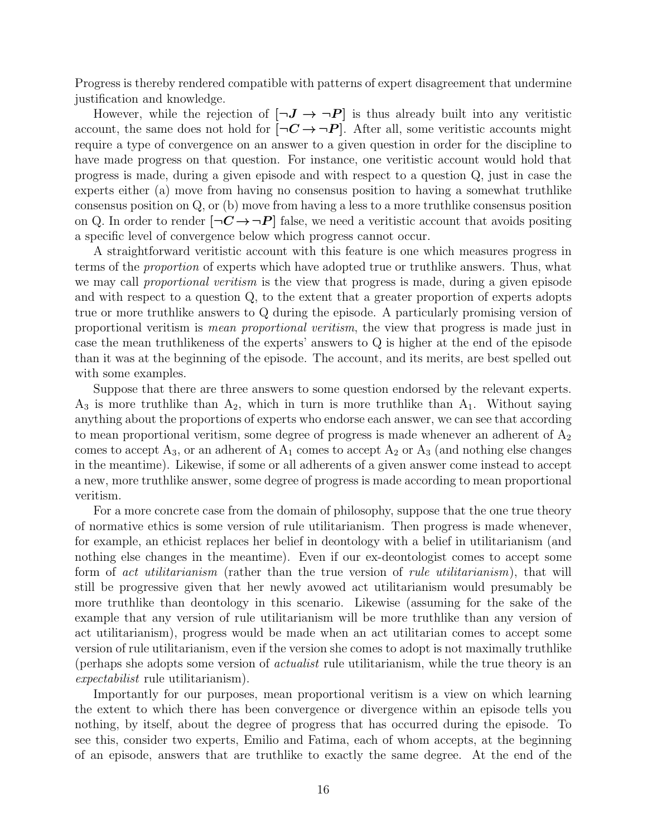Progress is thereby rendered compatible with patterns of expert disagreement that undermine justification and knowledge.

However, while the rejection of  $[\neg J \rightarrow \neg P]$  is thus already built into any veritistic account, the same does not hold for  $\neg C \rightarrow \neg P$ . After all, some veritistic accounts might require a type of convergence on an answer to a given question in order for the discipline to have made progress on that question. For instance, one veritistic account would hold that progress is made, during a given episode and with respect to a question Q, just in case the experts either (a) move from having no consensus position to having a somewhat truthlike consensus position on Q, or (b) move from having a less to a more truthlike consensus position on Q. In order to render  $\neg C \rightarrow \neg P$  false, we need a veritistic account that avoids positing a specific level of convergence below which progress cannot occur.

A straightforward veritistic account with this feature is one which measures progress in terms of the proportion of experts which have adopted true or truthlike answers. Thus, what we may call *proportional veritism* is the view that progress is made, during a given episode and with respect to a question Q, to the extent that a greater proportion of experts adopts true or more truthlike answers to Q during the episode. A particularly promising version of proportional veritism is mean proportional veritism, the view that progress is made just in case the mean truthlikeness of the experts' answers to Q is higher at the end of the episode than it was at the beginning of the episode. The account, and its merits, are best spelled out with some examples.

Suppose that there are three answers to some question endorsed by the relevant experts.  $A_3$  is more truthlike than  $A_2$ , which in turn is more truthlike than  $A_1$ . Without saying anything about the proportions of experts who endorse each answer, we can see that according to mean proportional veritism, some degree of progress is made whenever an adherent of  $A_2$ comes to accept  $A_3$ , or an adherent of  $A_1$  comes to accept  $A_2$  or  $A_3$  (and nothing else changes in the meantime). Likewise, if some or all adherents of a given answer come instead to accept a new, more truthlike answer, some degree of progress is made according to mean proportional veritism.

For a more concrete case from the domain of philosophy, suppose that the one true theory of normative ethics is some version of rule utilitarianism. Then progress is made whenever, for example, an ethicist replaces her belief in deontology with a belief in utilitarianism (and nothing else changes in the meantime). Even if our ex-deontologist comes to accept some form of act utilitarianism (rather than the true version of rule utilitarianism), that will still be progressive given that her newly avowed act utilitarianism would presumably be more truthlike than deontology in this scenario. Likewise (assuming for the sake of the example that any version of rule utilitarianism will be more truthlike than any version of act utilitarianism), progress would be made when an act utilitarian comes to accept some version of rule utilitarianism, even if the version she comes to adopt is not maximally truthlike (perhaps she adopts some version of *actualist* rule utilitarianism, while the true theory is an expectabilist rule utilitarianism).

Importantly for our purposes, mean proportional veritism is a view on which learning the extent to which there has been convergence or divergence within an episode tells you nothing, by itself, about the degree of progress that has occurred during the episode. To see this, consider two experts, Emilio and Fatima, each of whom accepts, at the beginning of an episode, answers that are truthlike to exactly the same degree. At the end of the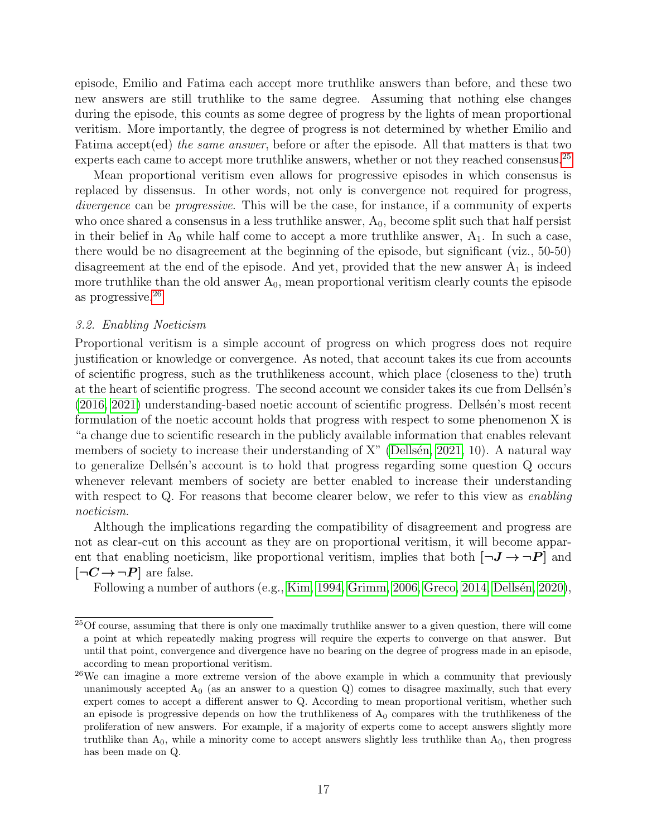episode, Emilio and Fatima each accept more truthlike answers than before, and these two new answers are still truthlike to the same degree. Assuming that nothing else changes during the episode, this counts as some degree of progress by the lights of mean proportional veritism. More importantly, the degree of progress is not determined by whether Emilio and Fatima accept(ed) the same answer, before or after the episode. All that matters is that two experts each came to accept more truthlike answers, whether or not they reached consensus.<sup>[25](#page-0-0)</sup>

Mean proportional veritism even allows for progressive episodes in which consensus is replaced by dissensus. In other words, not only is convergence not required for progress, divergence can be *progressive*. This will be the case, for instance, if a community of experts who once shared a consensus in a less truthlike answer,  $A_0$ , become split such that half persist in their belief in  $A_0$  while half come to accept a more truthlike answer,  $A_1$ . In such a case, there would be no disagreement at the beginning of the episode, but significant (viz., 50-50) disagreement at the end of the episode. And yet, provided that the new answer  $A_1$  is indeed more truthlike than the old answer  $A_0$ , mean proportional veritism clearly counts the episode as progressive.[26](#page-0-0)

#### 3.2. Enabling Noeticism

Proportional veritism is a simple account of progress on which progress does not require justification or knowledge or convergence. As noted, that account takes its cue from accounts of scientific progress, such as the truthlikeness account, which place (closeness to the) truth at the heart of scientific progress. The second account we consider takes its cue from Dellsen's  $(2016, 2021)$  $(2016, 2021)$  understanding-based noetic account of scientific progress. Dellsen's most recent formulation of the noetic account holds that progress with respect to some phenomenon X is "a change due to scientific research in the publicly available information that enables relevant members of society to increase their understanding of  $X$ " (Dellsén, 2021, 10). A natural way to generalize Dellsen's account is to hold that progress regarding some question Q occurs whenever relevant members of society are better enabled to increase their understanding with respect to Q. For reasons that become clearer below, we refer to this view as *enabling* noeticism.

Although the implications regarding the compatibility of disagreement and progress are not as clear-cut on this account as they are on proportional veritism, it will become apparent that enabling noeticism, like proportional veritism, implies that both  $[\neg J \rightarrow \neg P]$  and  $[\neg C \rightarrow \neg P]$  are false.

Following a number of authors (e.g., [Kim, 1994,](#page-26-14) [Grimm, 2006,](#page-25-15) [Greco, 2014,](#page-25-16) Dellsén, 2020),

<sup>&</sup>lt;sup>25</sup>Of course, assuming that there is only one maximally truthlike answer to a given question, there will come a point at which repeatedly making progress will require the experts to converge on that answer. But until that point, convergence and divergence have no bearing on the degree of progress made in an episode, according to mean proportional veritism.

<sup>&</sup>lt;sup>26</sup>We can imagine a more extreme version of the above example in which a community that previously unanimously accepted  $A_0$  (as an answer to a question Q) comes to disagree maximally, such that every expert comes to accept a different answer to Q. According to mean proportional veritism, whether such an episode is progressive depends on how the truthlikeness of  $A_0$  compares with the truthlikeness of the proliferation of new answers. For example, if a majority of experts come to accept answers slightly more truthlike than  $A_0$ , while a minority come to accept answers slightly less truthlike than  $A_0$ , then progress has been made on Q.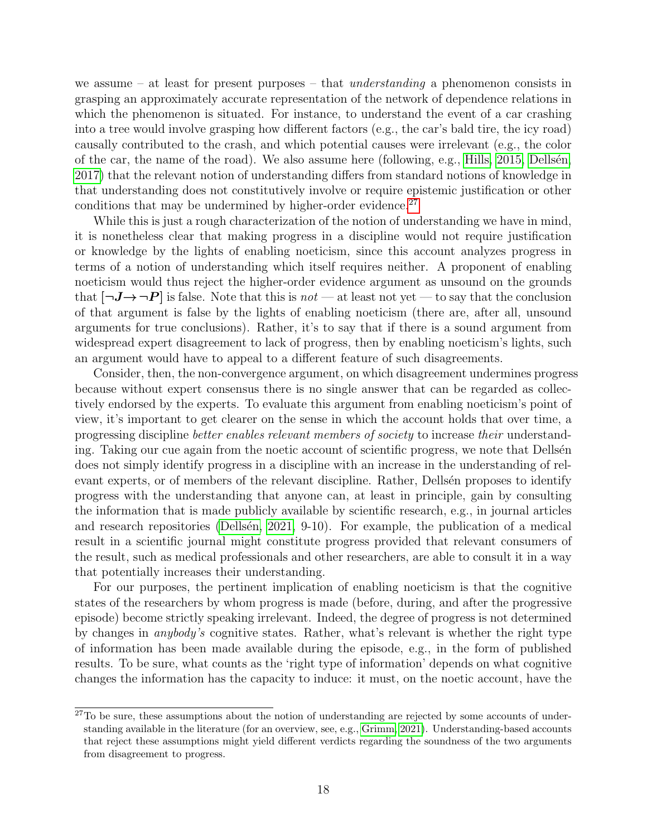we assume – at least for present purposes – that *understanding* a phenomenon consists in grasping an approximately accurate representation of the network of dependence relations in which the phenomenon is situated. For instance, to understand the event of a car crashing into a tree would involve grasping how different factors (e.g., the car's bald tire, the icy road) causally contributed to the crash, and which potential causes were irrelevant (e.g., the color of the car, the name of the road). We also assume here (following, e.g., [Hills, 2015,](#page-25-17) Dellsen, [2017\)](#page-24-16) that the relevant notion of understanding differs from standard notions of knowledge in that understanding does not constitutively involve or require epistemic justification or other conditions that may be undermined by higher-order evidence. $27$ 

While this is just a rough characterization of the notion of understanding we have in mind, it is nonetheless clear that making progress in a discipline would not require justification or knowledge by the lights of enabling noeticism, since this account analyzes progress in terms of a notion of understanding which itself requires neither. A proponent of enabling noeticism would thus reject the higher-order evidence argument as unsound on the grounds that  $[\neg J \rightarrow \neg P]$  is false. Note that this is not — at least not yet — to say that the conclusion of that argument is false by the lights of enabling noeticism (there are, after all, unsound arguments for true conclusions). Rather, it's to say that if there is a sound argument from widespread expert disagreement to lack of progress, then by enabling noeticism's lights, such an argument would have to appeal to a different feature of such disagreements.

Consider, then, the non-convergence argument, on which disagreement undermines progress because without expert consensus there is no single answer that can be regarded as collectively endorsed by the experts. To evaluate this argument from enabling noeticism's point of view, it's important to get clearer on the sense in which the account holds that over time, a progressing discipline better enables relevant members of society to increase their understanding. Taking our cue again from the noetic account of scientific progress, we note that Dellsen does not simply identify progress in a discipline with an increase in the understanding of relevant experts, or of members of the relevant discipline. Rather, Dellsen proposes to identify progress with the understanding that anyone can, at least in principle, gain by consulting the information that is made publicly available by scientific research, e.g., in journal articles and research repositories (Dellsen,  $2021, 9-10$ ). For example, the publication of a medical result in a scientific journal might constitute progress provided that relevant consumers of the result, such as medical professionals and other researchers, are able to consult it in a way that potentially increases their understanding.

For our purposes, the pertinent implication of enabling noeticism is that the cognitive states of the researchers by whom progress is made (before, during, and after the progressive episode) become strictly speaking irrelevant. Indeed, the degree of progress is not determined by changes in anybody's cognitive states. Rather, what's relevant is whether the right type of information has been made available during the episode, e.g., in the form of published results. To be sure, what counts as the 'right type of information' depends on what cognitive changes the information has the capacity to induce: it must, on the noetic account, have the

<sup>&</sup>lt;sup>27</sup>To be sure, these assumptions about the notion of understanding are rejected by some accounts of understanding available in the literature (for an overview, see, e.g., [Grimm, 2021\)](#page-25-18). Understanding-based accounts that reject these assumptions might yield different verdicts regarding the soundness of the two arguments from disagreement to progress.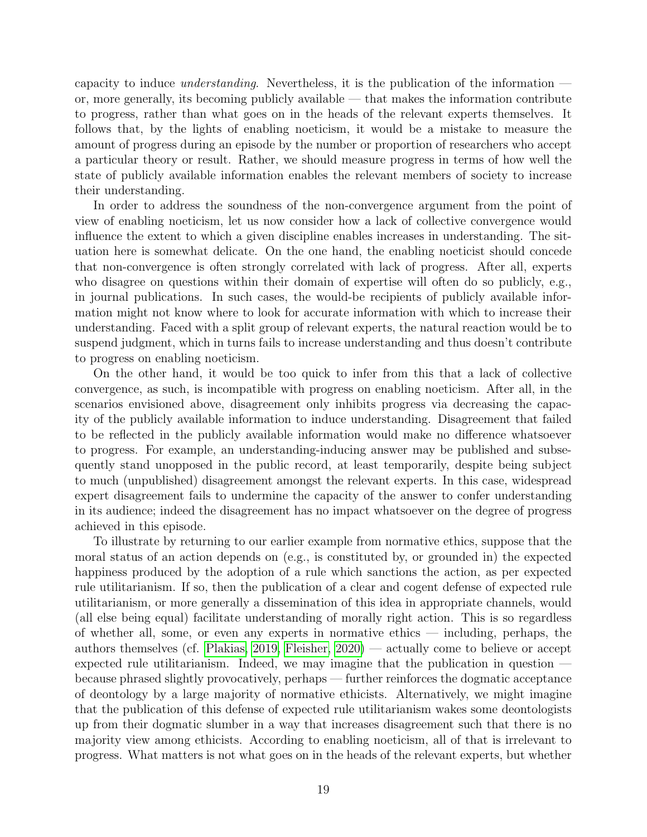capacity to induce understanding. Nevertheless, it is the publication of the information or, more generally, its becoming publicly available — that makes the information contribute to progress, rather than what goes on in the heads of the relevant experts themselves. It follows that, by the lights of enabling noeticism, it would be a mistake to measure the amount of progress during an episode by the number or proportion of researchers who accept a particular theory or result. Rather, we should measure progress in terms of how well the state of publicly available information enables the relevant members of society to increase their understanding.

In order to address the soundness of the non-convergence argument from the point of view of enabling noeticism, let us now consider how a lack of collective convergence would influence the extent to which a given discipline enables increases in understanding. The situation here is somewhat delicate. On the one hand, the enabling noeticist should concede that non-convergence is often strongly correlated with lack of progress. After all, experts who disagree on questions within their domain of expertise will often do so publicly, e.g., in journal publications. In such cases, the would-be recipients of publicly available information might not know where to look for accurate information with which to increase their understanding. Faced with a split group of relevant experts, the natural reaction would be to suspend judgment, which in turns fails to increase understanding and thus doesn't contribute to progress on enabling noeticism.

On the other hand, it would be too quick to infer from this that a lack of collective convergence, as such, is incompatible with progress on enabling noeticism. After all, in the scenarios envisioned above, disagreement only inhibits progress via decreasing the capacity of the publicly available information to induce understanding. Disagreement that failed to be reflected in the publicly available information would make no difference whatsoever to progress. For example, an understanding-inducing answer may be published and subsequently stand unopposed in the public record, at least temporarily, despite being subject to much (unpublished) disagreement amongst the relevant experts. In this case, widespread expert disagreement fails to undermine the capacity of the answer to confer understanding in its audience; indeed the disagreement has no impact whatsoever on the degree of progress achieved in this episode.

To illustrate by returning to our earlier example from normative ethics, suppose that the moral status of an action depends on (e.g., is constituted by, or grounded in) the expected happiness produced by the adoption of a rule which sanctions the action, as per expected rule utilitarianism. If so, then the publication of a clear and cogent defense of expected rule utilitarianism, or more generally a dissemination of this idea in appropriate channels, would (all else being equal) facilitate understanding of morally right action. This is so regardless of whether all, some, or even any experts in normative ethics — including, perhaps, the authors themselves (cf. [Plakias, 2019,](#page-27-11) [Fleisher, 2020\)](#page-25-7) — actually come to believe or accept expected rule utilitarianism. Indeed, we may imagine that the publication in question because phrased slightly provocatively, perhaps — further reinforces the dogmatic acceptance of deontology by a large majority of normative ethicists. Alternatively, we might imagine that the publication of this defense of expected rule utilitarianism wakes some deontologists up from their dogmatic slumber in a way that increases disagreement such that there is no majority view among ethicists. According to enabling noeticism, all of that is irrelevant to progress. What matters is not what goes on in the heads of the relevant experts, but whether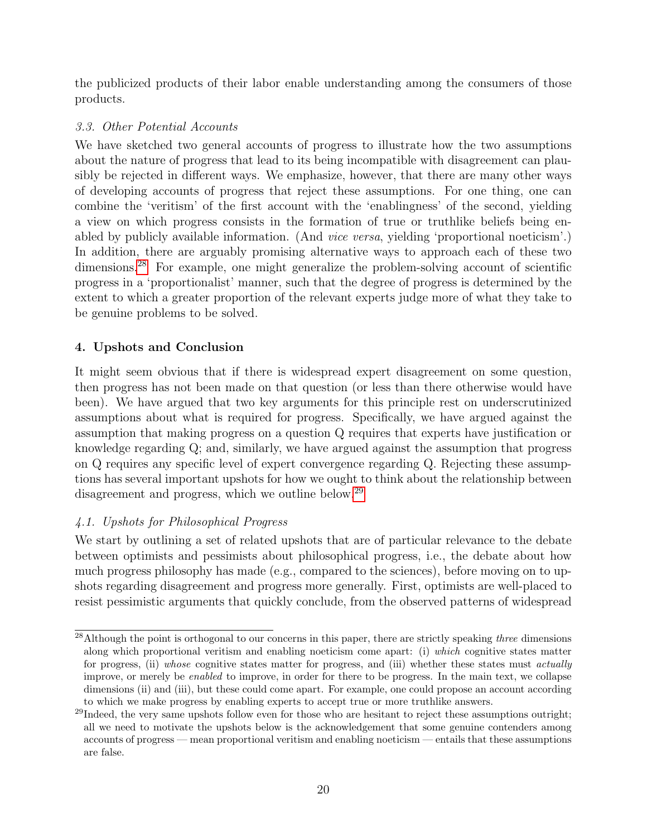the publicized products of their labor enable understanding among the consumers of those products.

# 3.3. Other Potential Accounts

We have sketched two general accounts of progress to illustrate how the two assumptions about the nature of progress that lead to its being incompatible with disagreement can plausibly be rejected in different ways. We emphasize, however, that there are many other ways of developing accounts of progress that reject these assumptions. For one thing, one can combine the 'veritism' of the first account with the 'enablingness' of the second, yielding a view on which progress consists in the formation of true or truthlike beliefs being enabled by publicly available information. (And *vice versa*, yielding 'proportional noeticism'.) In addition, there are arguably promising alternative ways to approach each of these two dimensions.<sup>[28](#page-0-0)</sup> For example, one might generalize the problem-solving account of scientific progress in a 'proportionalist' manner, such that the degree of progress is determined by the extent to which a greater proportion of the relevant experts judge more of what they take to be genuine problems to be solved.

# 4. Upshots and Conclusion

It might seem obvious that if there is widespread expert disagreement on some question, then progress has not been made on that question (or less than there otherwise would have been). We have argued that two key arguments for this principle rest on underscrutinized assumptions about what is required for progress. Specifically, we have argued against the assumption that making progress on a question Q requires that experts have justification or knowledge regarding Q; and, similarly, we have argued against the assumption that progress on Q requires any specific level of expert convergence regarding Q. Rejecting these assumptions has several important upshots for how we ought to think about the relationship between disagreement and progress, which we outline below.<sup>[29](#page-0-0)</sup>

# 4.1. Upshots for Philosophical Progress

We start by outlining a set of related upshots that are of particular relevance to the debate between optimists and pessimists about philosophical progress, i.e., the debate about how much progress philosophy has made (e.g., compared to the sciences), before moving on to upshots regarding disagreement and progress more generally. First, optimists are well-placed to resist pessimistic arguments that quickly conclude, from the observed patterns of widespread

<sup>&</sup>lt;sup>28</sup>Although the point is orthogonal to our concerns in this paper, there are strictly speaking three dimensions along which proportional veritism and enabling noeticism come apart: (i) which cognitive states matter for progress, (ii) whose cognitive states matter for progress, and (iii) whether these states must actually improve, or merely be enabled to improve, in order for there to be progress. In the main text, we collapse dimensions (ii) and (iii), but these could come apart. For example, one could propose an account according to which we make progress by enabling experts to accept true or more truthlike answers.

<sup>&</sup>lt;sup>29</sup>Indeed, the very same upshots follow even for those who are hesitant to reject these assumptions outright; all we need to motivate the upshots below is the acknowledgement that some genuine contenders among accounts of progress — mean proportional veritism and enabling noeticism — entails that these assumptions are false.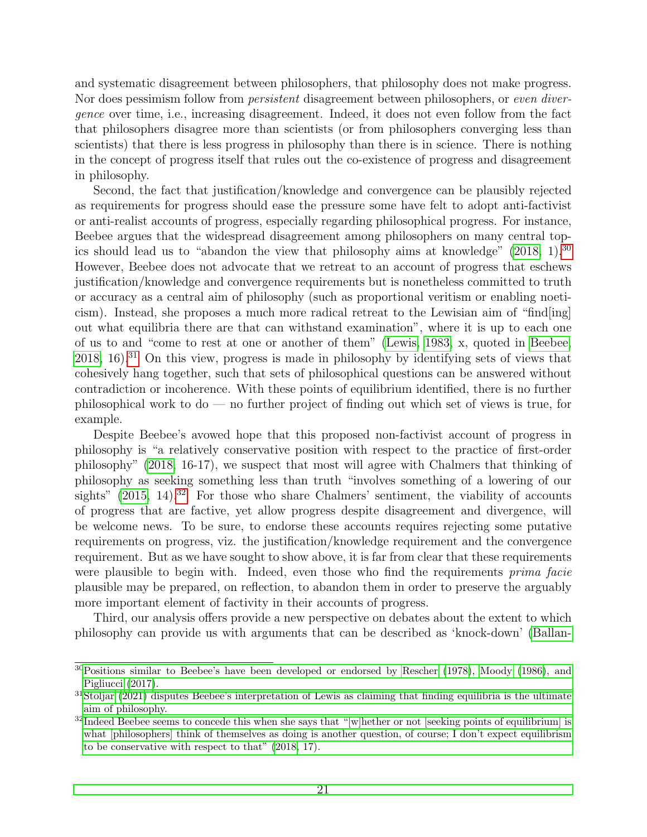and systematic disagreement between philosophers, that philosophy does not make progress. Nor does pessimism follow from *persistent* disagreement between philosophers, or *even diver*gence over time, i.e., increasing disagreement. Indeed, it does not even follow from the fact that philosophers disagree more than scientists (or from philosophers converging less than scientists) that there is less progress in philosophy than there is in science. There is nothing in the concept of progress itself that rules out the co-existence of progress and disagreement in philosophy.

Second, the fact that justification/knowledge and convergence can be plausibly rejected as requirements for progress should ease the pressure some have felt to adopt anti-factivist or anti-realist accounts of progress, especially regarding philosophical progress. For instance, Beebee argues that the widespread disagreement among philosophers on many central topics should lead us to "abandon the view that philosophy aims at knowledge"  $(2018, 1)$  $(2018, 1)$ .<sup>[30](#page-0-0)</sup> However, Beebee does not advocate that we retreat to an account of progress that eschews justification/knowledge and convergence requirements but is nonetheless committed to truth or accuracy as a central aim of philosophy (such as proportional veritism or enabling noeticism). Instead, she proposes a much more radical retreat to the Lewisian aim of "find[ing] out what equilibria there are that can withstand examination", where it is up to each one of us to and "come to rest at one or another of them" [\(Lewis, 1983,](#page-26-15) x, quoted in [Beebee,](#page-23-0)  $2018$ ,  $16$ ).<sup>[31](#page-0-0)</sup> On this view, progress is made in philosophy by identifying sets of views that cohesively hang together, such that sets of philosophical questions can be answered without contradiction or incoherence. With these points of equilibrium identified, there is no further philosophical work to do — no further project of finding out which set of views is true, for example.

Despite Beebee's avowed hope that this proposed non-factivist account of progress in philosophy is "a relatively conservative position with respect to the practice of first-order philosophy" [\(2018,](#page-23-0) 16-17), we suspect that most will agree with Chalmers that thinking of philosophy as seeking something less than truth "involves something of a lowering of our sights"  $(2015, 14).$  $(2015, 14).$ <sup>[32](#page-0-0)</sup> For those who share Chalmers' sentiment, the viability of accounts of progress that are factive, yet allow progress despite disagreement and divergence, will be welcome news. To be sure, to endorse these accounts requires rejecting some putative requirements on progress, viz. the justification/knowledge requirement and the convergence requirement. But as we have sought to show above, it is far from clear that these requirements were plausible to begin with. Indeed, even those who find the requirements *prima facie* plausible may be prepared, on reflection, to abandon them in order to preserve the arguably more important element of factivity in their accounts of progress.

Third, our analysis offers provide a new perspective on debates about the extent to which philosophy can provide us with arguments that can be described as 'knock-down' [\(Ballan-](#page-23-12)

 $30$ [Positions similar to Beebee's have been developed or endorsed by Rescher \(1978\), Moody \(1986\), and](#page-23-12) [Pigliucci \(2017\).](#page-23-12)

 $31$ [Stoljar \(2021\) disputes Beebee's interpretation of Lewis as claiming that finding equilibria is the ultimate](#page-23-12) [aim of philosophy.](#page-23-12)

 $32$ [Indeed Beebee seems to concede this when she says that "\[w\]hether or not \[seeking points of equilibrium\] is](#page-23-12) [what \[philosophers\] think of themselves as doing is another question, of course; I don't expect equilibrism](#page-23-12) [to be conservative with respect to that" \(2018, 17\).](#page-23-12)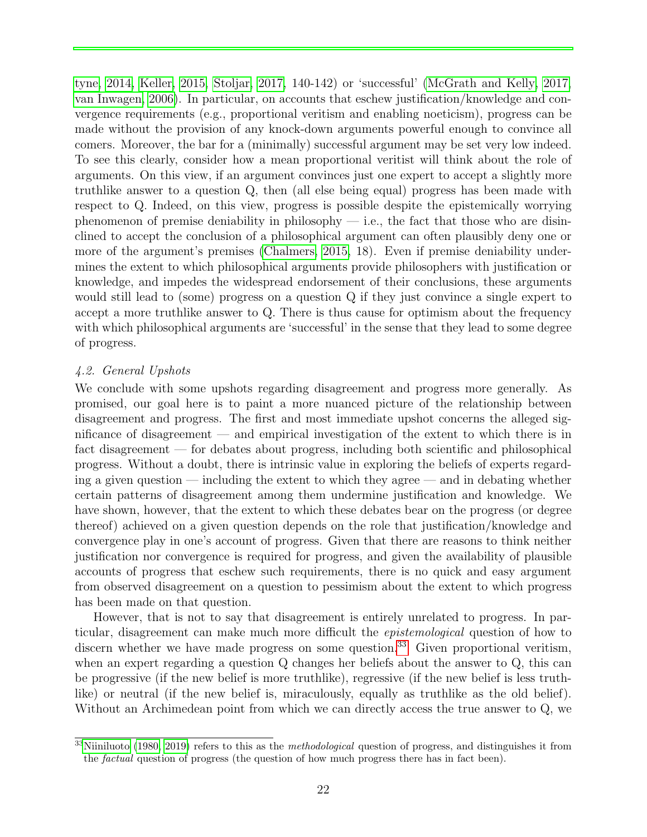[tyne, 2014,](#page-23-12) [Keller, 2015,](#page-25-19) [Stoljar, 2017,](#page-27-1) 140-142) or 'successful' [\(McGrath and Kelly, 2017,](#page-26-16) [van Inwagen, 2006\)](#page-27-4). In particular, on accounts that eschew justification/knowledge and convergence requirements (e.g., proportional veritism and enabling noeticism), progress can be made without the provision of any knock-down arguments powerful enough to convince all comers. Moreover, the bar for a (minimally) successful argument may be set very low indeed. To see this clearly, consider how a mean proportional veritist will think about the role of arguments. On this view, if an argument convinces just one expert to accept a slightly more truthlike answer to a question Q, then (all else being equal) progress has been made with respect to Q. Indeed, on this view, progress is possible despite the epistemically worrying phenomenon of premise deniability in philosophy  $-$  i.e., the fact that those who are disinclined to accept the conclusion of a philosophical argument can often plausibly deny one or more of the argument's premises [\(Chalmers, 2015,](#page-24-1) 18). Even if premise deniability undermines the extent to which philosophical arguments provide philosophers with justification or knowledge, and impedes the widespread endorsement of their conclusions, these arguments would still lead to (some) progress on a question Q if they just convince a single expert to accept a more truthlike answer to Q. There is thus cause for optimism about the frequency with which philosophical arguments are 'successful' in the sense that they lead to some degree of progress.

# 4.2. General Upshots

We conclude with some upshots regarding disagreement and progress more generally. As promised, our goal here is to paint a more nuanced picture of the relationship between disagreement and progress. The first and most immediate upshot concerns the alleged significance of disagreement — and empirical investigation of the extent to which there is in fact disagreement — for debates about progress, including both scientific and philosophical progress. Without a doubt, there is intrinsic value in exploring the beliefs of experts regarding a given question — including the extent to which they agree — and in debating whether certain patterns of disagreement among them undermine justification and knowledge. We have shown, however, that the extent to which these debates bear on the progress (or degree thereof) achieved on a given question depends on the role that justification/knowledge and convergence play in one's account of progress. Given that there are reasons to think neither justification nor convergence is required for progress, and given the availability of plausible accounts of progress that eschew such requirements, there is no quick and easy argument from observed disagreement on a question to pessimism about the extent to which progress has been made on that question.

However, that is not to say that disagreement is entirely unrelated to progress. In particular, disagreement can make much more difficult the epistemological question of how to discern whether we have made progress on some question.<sup>[33](#page-0-0)</sup> Given proportional veritism, when an expert regarding a question Q changes her beliefs about the answer to Q, this can be progressive (if the new belief is more truthlike), regressive (if the new belief is less truthlike) or neutral (if the new belief is, miraculously, equally as truthlike as the old belief). Without an Archimedean point from which we can directly access the true answer to Q, we

 $33$ [Niiniluoto](#page-26-6) [\(1980,](#page-26-6) [2019\)](#page-27-2) refers to this as the *methodological* question of progress, and distinguishes it from the factual question of progress (the question of how much progress there has in fact been).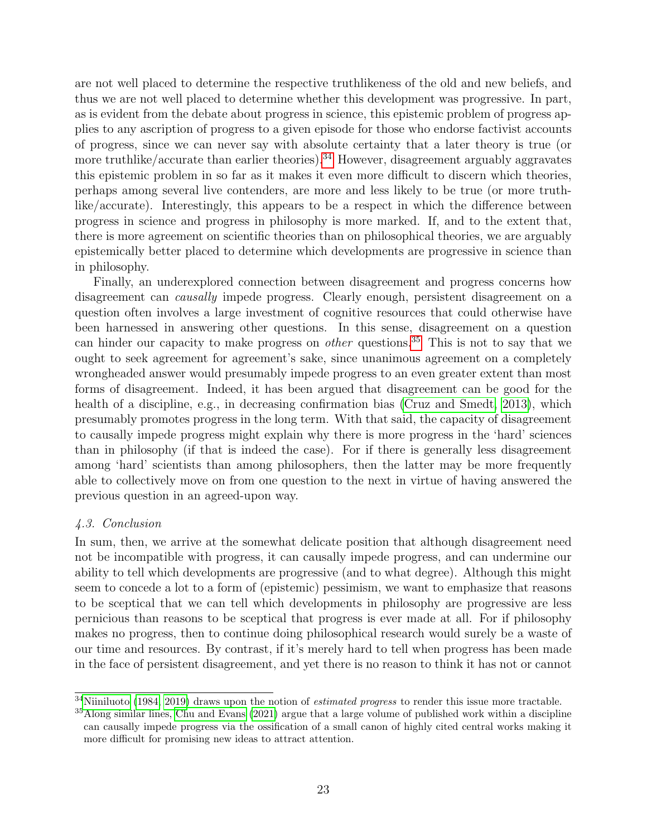are not well placed to determine the respective truthlikeness of the old and new beliefs, and thus we are not well placed to determine whether this development was progressive. In part, as is evident from the debate about progress in science, this epistemic problem of progress applies to any ascription of progress to a given episode for those who endorse factivist accounts of progress, since we can never say with absolute certainty that a later theory is true (or more truthlike/accurate than earlier theories).<sup>[34](#page-0-0)</sup> However, disagreement arguably aggravates this epistemic problem in so far as it makes it even more difficult to discern which theories, perhaps among several live contenders, are more and less likely to be true (or more truthlike/accurate). Interestingly, this appears to be a respect in which the difference between progress in science and progress in philosophy is more marked. If, and to the extent that, there is more agreement on scientific theories than on philosophical theories, we are arguably epistemically better placed to determine which developments are progressive in science than in philosophy.

Finally, an underexplored connection between disagreement and progress concerns how disagreement can *causally* impede progress. Clearly enough, persistent disagreement on a question often involves a large investment of cognitive resources that could otherwise have been harnessed in answering other questions. In this sense, disagreement on a question can hinder our capacity to make progress on *other* questions.<sup>[35](#page-0-0)</sup> This is not to say that we ought to seek agreement for agreement's sake, since unanimous agreement on a completely wrongheaded answer would presumably impede progress to an even greater extent than most forms of disagreement. Indeed, it has been argued that disagreement can be good for the health of a discipline, e.g., in decreasing confirmation bias [\(Cruz and Smedt, 2013\)](#page-24-17), which presumably promotes progress in the long term. With that said, the capacity of disagreement to causally impede progress might explain why there is more progress in the 'hard' sciences than in philosophy (if that is indeed the case). For if there is generally less disagreement among 'hard' scientists than among philosophers, then the latter may be more frequently able to collectively move on from one question to the next in virtue of having answered the previous question in an agreed-upon way.

# 4.3. Conclusion

In sum, then, we arrive at the somewhat delicate position that although disagreement need not be incompatible with progress, it can causally impede progress, and can undermine our ability to tell which developments are progressive (and to what degree). Although this might seem to concede a lot to a form of (epistemic) pessimism, we want to emphasize that reasons to be sceptical that we can tell which developments in philosophy are progressive are less pernicious than reasons to be sceptical that progress is ever made at all. For if philosophy makes no progress, then to continue doing philosophical research would surely be a waste of our time and resources. By contrast, if it's merely hard to tell when progress has been made in the face of persistent disagreement, and yet there is no reason to think it has not or cannot

 $34$ [Niiniluoto](#page-26-17) [\(1984,](#page-26-17) [2019\)](#page-27-2) draws upon the notion of *estimated progress* to render this issue more tractable.

<sup>35</sup>Along similar lines, [Chu and Evans](#page-24-18) [\(2021\)](#page-24-18) argue that a large volume of published work within a discipline can causally impede progress via the ossification of a small canon of highly cited central works making it more difficult for promising new ideas to attract attention.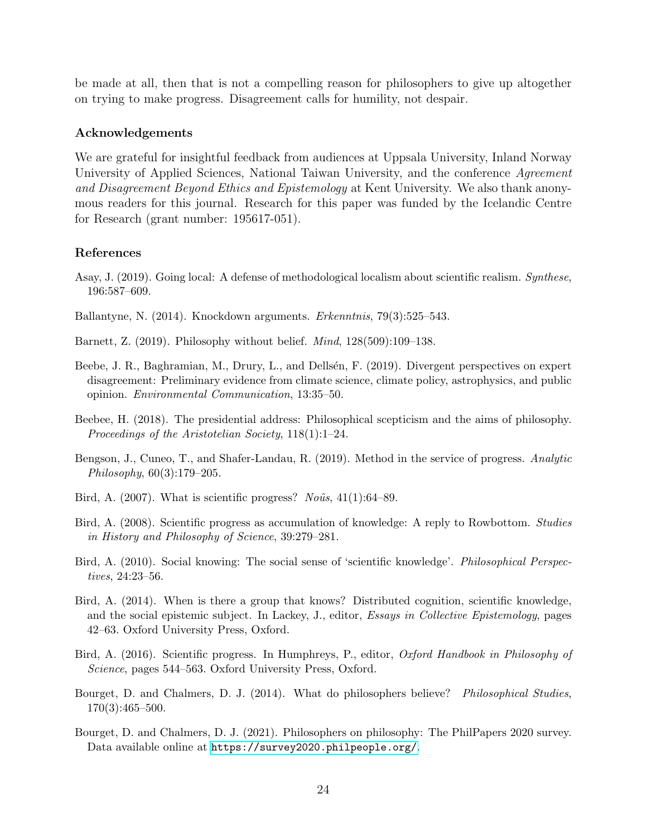be made at all, then that is not a compelling reason for philosophers to give up altogether on trying to make progress. Disagreement calls for humility, not despair.

# Acknowledgements

We are grateful for insightful feedback from audiences at Uppsala University, Inland Norway University of Applied Sciences, National Taiwan University, and the conference Agreement and Disagreement Beyond Ethics and Epistemology at Kent University. We also thank anonymous readers for this journal. Research for this paper was funded by the Icelandic Centre for Research (grant number: 195617-051).

# References

- <span id="page-23-9"></span>Asay, J. (2019). Going local: A defense of methodological localism about scientific realism. Synthese, 196:587–609.
- <span id="page-23-12"></span>Ballantyne, N. (2014). Knockdown arguments. Erkenntnis, 79(3):525–543.
- <span id="page-23-4"></span>Barnett, Z. (2019). Philosophy without belief. Mind, 128(509):109–138.
- <span id="page-23-5"></span>Beebe, J. R., Baghramian, M., Drury, L., and Dellsén, F. (2019). Divergent perspectives on expert disagreement: Preliminary evidence from climate science, climate policy, astrophysics, and public opinion. Environmental Communication, 13:35–50.
- <span id="page-23-0"></span>Beebee, H. (2018). The presidential address: Philosophical scepticism and the aims of philosophy. Proceedings of the Aristotelian Society, 118(1):1–24.
- <span id="page-23-2"></span>Bengson, J., Cuneo, T., and Shafer-Landau, R. (2019). Method in the service of progress. Analytic Philosophy, 60(3):179–205.
- <span id="page-23-6"></span>Bird, A.  $(2007)$ . What is scientific progress? *Noûs*,  $41(1):64-89$ .
- <span id="page-23-8"></span>Bird, A. (2008). Scientific progress as accumulation of knowledge: A reply to Rowbottom. Studies in History and Philosophy of Science, 39:279–281.
- <span id="page-23-10"></span>Bird, A. (2010). Social knowing: The social sense of 'scientific knowledge'. Philosophical Perspectives, 24:23–56.
- <span id="page-23-11"></span>Bird, A. (2014). When is there a group that knows? Distributed cognition, scientific knowledge, and the social epistemic subject. In Lackey, J., editor, Essays in Collective Epistemology, pages 42–63. Oxford University Press, Oxford.
- <span id="page-23-7"></span>Bird, A. (2016). Scientific progress. In Humphreys, P., editor, *Oxford Handbook in Philosophy of* Science, pages 544–563. Oxford University Press, Oxford.
- <span id="page-23-1"></span>Bourget, D. and Chalmers, D. J. (2014). What do philosophers believe? Philosophical Studies,  $170(3):465-500.$
- <span id="page-23-3"></span>Bourget, D. and Chalmers, D. J. (2021). Philosophers on philosophy: The PhilPapers 2020 survey. Data available online at <https://survey2020.philpeople.org/>.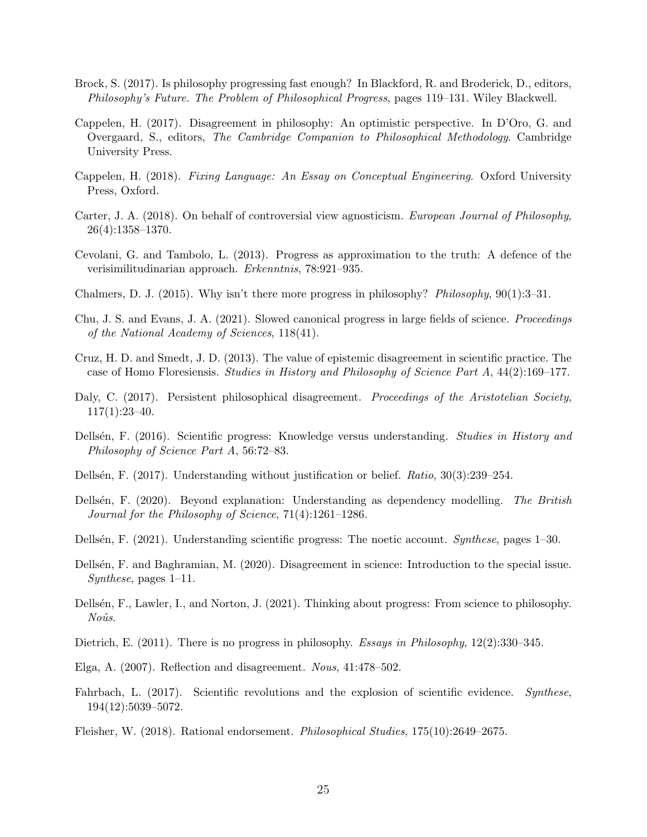- <span id="page-24-3"></span>Brock, S. (2017). Is philosophy progressing fast enough? In Blackford, R. and Broderick, D., editors, Philosophy's Future. The Problem of Philosophical Progress, pages 119–131. Wiley Blackwell.
- <span id="page-24-2"></span>Cappelen, H. (2017). Disagreement in philosophy: An optimistic perspective. In D'Oro, G. and Overgaard, S., editors, The Cambridge Companion to Philosophical Methodology. Cambridge University Press.
- <span id="page-24-12"></span>Cappelen, H. (2018). Fixing Language: An Essay on Conceptual Engineering. Oxford University Press, Oxford.
- <span id="page-24-9"></span>Carter, J. A. (2018). On behalf of controversial view agnosticism. European Journal of Philosophy, 26(4):1358–1370.
- <span id="page-24-14"></span>Cevolani, G. and Tambolo, L. (2013). Progress as approximation to the truth: A defence of the verisimilitudinarian approach. Erkenntnis, 78:921–935.
- <span id="page-24-1"></span>Chalmers, D. J. (2015). Why isn't there more progress in philosophy? Philosophy, 90(1):3–31.
- <span id="page-24-18"></span>Chu, J. S. and Evans, J. A. (2021). Slowed canonical progress in large fields of science. Proceedings of the National Academy of Sciences, 118(41).
- <span id="page-24-17"></span>Cruz, H. D. and Smedt, J. D. (2013). The value of epistemic disagreement in scientific practice. The case of Homo Floresiensis. Studies in History and Philosophy of Science Part A, 44(2):169–177.
- <span id="page-24-7"></span>Daly, C. (2017). Persistent philosophical disagreement. *Proceedings of the Aristotelian Society*, 117(1):23–40.
- <span id="page-24-5"></span>Dellsén, F. (2016). Scientific progress: Knowledge versus understanding. Studies in History and Philosophy of Science Part A, 56:72–83.
- <span id="page-24-16"></span>Dellsén, F. (2017). Understanding without justification or belief. Ratio, 30(3):239–254.
- <span id="page-24-15"></span>Dellsén, F. (2020). Beyond explanation: Understanding as dependency modelling. The British Journal for the Philosophy of Science, 71(4):1261–1286.
- <span id="page-24-6"></span>Dellsén, F. (2021). Understanding scientific progress: The noetic account. Synthese, pages 1–30.
- <span id="page-24-11"></span>Dellsén, F. and Baghramian, M. (2020). Disagreement in science: Introduction to the special issue. Synthese, pages 1–11.
- <span id="page-24-4"></span>Dellsén, F., Lawler, I., and Norton, J. (2021). Thinking about progress: From science to philosophy.  $No\hat{u}s$ .
- <span id="page-24-0"></span>Dietrich, E. (2011). There is no progress in philosophy. Essays in Philosophy, 12(2):330–345.
- <span id="page-24-8"></span>Elga, A. (2007). Reflection and disagreement. Nous, 41:478–502.
- <span id="page-24-13"></span>Fahrbach, L. (2017). Scientific revolutions and the explosion of scientific evidence. Synthese, 194(12):5039–5072.
- <span id="page-24-10"></span>Fleisher, W. (2018). Rational endorsement. Philosophical Studies, 175(10):2649–2675.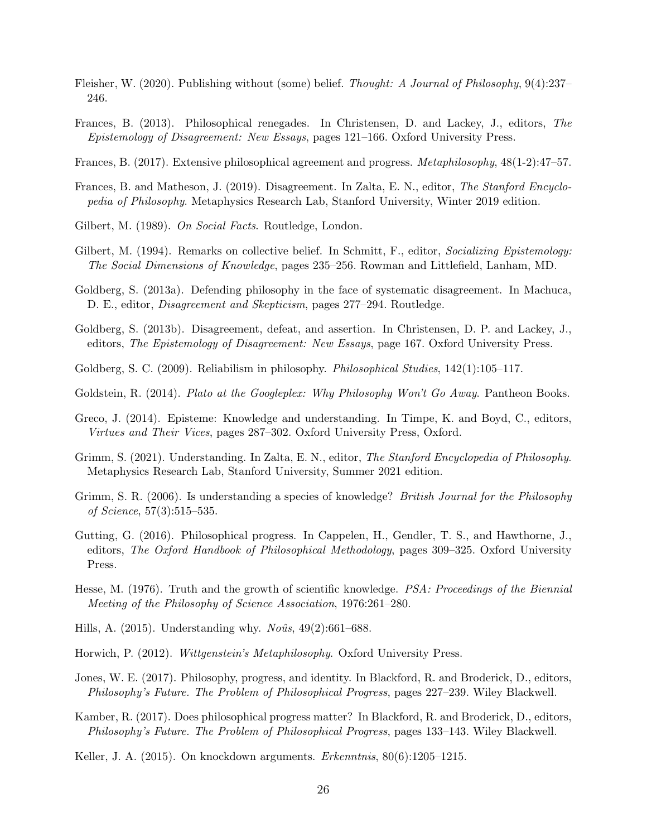- <span id="page-25-7"></span>Fleisher, W. (2020). Publishing without (some) belief. Thought: A Journal of Philosophy, 9(4):237– 246.
- <span id="page-25-11"></span>Frances, B. (2013). Philosophical renegades. In Christensen, D. and Lackey, J., editors, The Epistemology of Disagreement: New Essays, pages 121–166. Oxford University Press.
- <span id="page-25-1"></span>Frances, B. (2017). Extensive philosophical agreement and progress. Metaphilosophy, 48(1-2):47–57.
- <span id="page-25-8"></span>Frances, B. and Matheson, J. (2019). Disagreement. In Zalta, E. N., editor, The Stanford Encyclopedia of Philosophy. Metaphysics Research Lab, Stanford University, Winter 2019 edition.
- <span id="page-25-13"></span>Gilbert, M. (1989). On Social Facts. Routledge, London.
- <span id="page-25-14"></span>Gilbert, M. (1994). Remarks on collective belief. In Schmitt, F., editor, Socializing Epistemology: The Social Dimensions of Knowledge, pages 235–256. Rowman and Littlefield, Lanham, MD.
- <span id="page-25-6"></span>Goldberg, S. (2013a). Defending philosophy in the face of systematic disagreement. In Machuca, D. E., editor, Disagreement and Skepticism, pages 277–294. Routledge.
- <span id="page-25-9"></span>Goldberg, S. (2013b). Disagreement, defeat, and assertion. In Christensen, D. P. and Lackey, J., editors, The Epistemology of Disagreement: New Essays, page 167. Oxford University Press.
- <span id="page-25-10"></span>Goldberg, S. C. (2009). Reliabilism in philosophy. *Philosophical Studies*, 142(1):105–117.
- <span id="page-25-3"></span>Goldstein, R. (2014). Plato at the Googleplex: Why Philosophy Won't Go Away. Pantheon Books.
- <span id="page-25-16"></span>Greco, J. (2014). Episteme: Knowledge and understanding. In Timpe, K. and Boyd, C., editors, Virtues and Their Vices, pages 287–302. Oxford University Press, Oxford.
- <span id="page-25-18"></span>Grimm, S. (2021). Understanding. In Zalta, E. N., editor, The Stanford Encyclopedia of Philosophy. Metaphysics Research Lab, Stanford University, Summer 2021 edition.
- <span id="page-25-15"></span>Grimm, S. R. (2006). Is understanding a species of knowledge? *British Journal for the Philosophy* of Science, 57(3):515–535.
- <span id="page-25-4"></span>Gutting, G. (2016). Philosophical progress. In Cappelen, H., Gendler, T. S., and Hawthorne, J., editors, The Oxford Handbook of Philosophical Methodology, pages 309–325. Oxford University Press.
- <span id="page-25-12"></span>Hesse, M. (1976). Truth and the growth of scientific knowledge. *PSA: Proceedings of the Biennial* Meeting of the Philosophy of Science Association, 1976:261–280.
- <span id="page-25-17"></span>Hills, A. (2015). Understanding why.  $No\hat{u}s$ , 49(2):661–688.
- <span id="page-25-0"></span>Horwich, P. (2012). Wittgenstein's Metaphilosophy. Oxford University Press.
- <span id="page-25-2"></span>Jones, W. E. (2017). Philosophy, progress, and identity. In Blackford, R. and Broderick, D., editors, Philosophy's Future. The Problem of Philosophical Progress, pages 227–239. Wiley Blackwell.
- <span id="page-25-5"></span>Kamber, R. (2017). Does philosophical progress matter? In Blackford, R. and Broderick, D., editors, Philosophy's Future. The Problem of Philosophical Progress, pages 133–143. Wiley Blackwell.
- <span id="page-25-19"></span>Keller, J. A. (2015). On knockdown arguments. *Erkenntnis*, 80(6):1205–1215.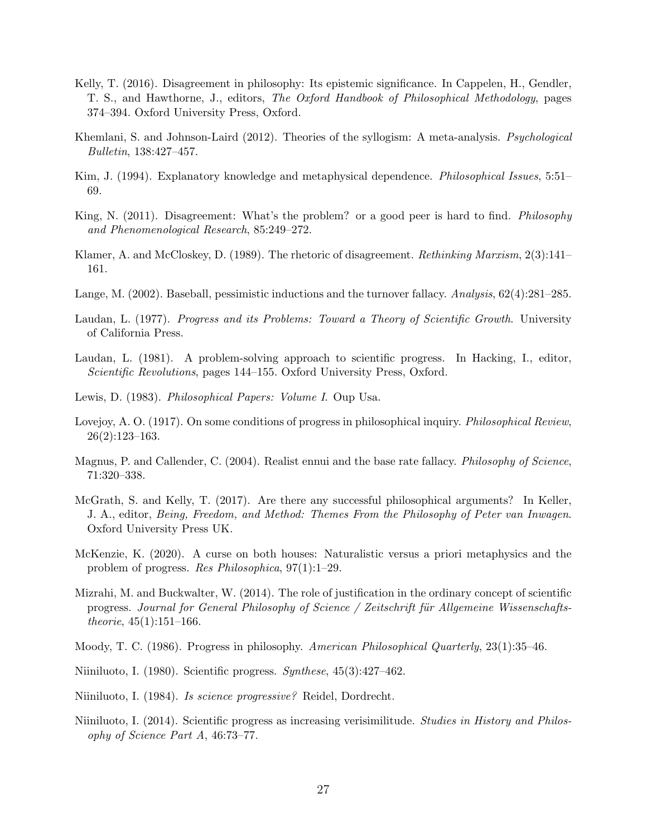- <span id="page-26-3"></span>Kelly, T. (2016). Disagreement in philosophy: Its epistemic significance. In Cappelen, H., Gendler, T. S., and Hawthorne, J., editors, The Oxford Handbook of Philosophical Methodology, pages 374–394. Oxford University Press, Oxford.
- <span id="page-26-4"></span>Khemlani, S. and Johnson-Laird (2012). Theories of the syllogism: A meta-analysis. *Psychological* Bulletin, 138:427–457.
- <span id="page-26-14"></span>Kim, J. (1994). Explanatory knowledge and metaphysical dependence. *Philosophical Issues*, 5:51– 69.
- <span id="page-26-10"></span>King, N. (2011). Disagreement: What's the problem? or a good peer is hard to find. *Philosophy* and Phenomenological Research, 85:249–272.
- <span id="page-26-5"></span>Klamer, A. and McCloskey, D. (1989). The rhetoric of disagreement. Rethinking Marxism, 2(3):141– 161.
- <span id="page-26-11"></span>Lange, M. (2002). Baseball, pessimistic inductions and the turnover fallacy. Analysis, 62(4):281–285.
- <span id="page-26-8"></span>Laudan, L. (1977). Progress and its Problems: Toward a Theory of Scientific Growth. University of California Press.
- <span id="page-26-9"></span>Laudan, L. (1981). A problem-solving approach to scientific progress. In Hacking, I., editor, Scientific Revolutions, pages 144–155. Oxford University Press, Oxford.
- <span id="page-26-15"></span>Lewis, D. (1983). *Philosophical Papers: Volume I*. Oup Usa.
- <span id="page-26-0"></span>Lovejoy, A. O. (1917). On some conditions of progress in philosophical inquiry. *Philosophical Review*, 26(2):123–163.
- <span id="page-26-12"></span>Magnus, P. and Callender, C. (2004). Realist ennui and the base rate fallacy. *Philosophy of Science*, 71:320–338.
- <span id="page-26-16"></span>McGrath, S. and Kelly, T. (2017). Are there any successful philosophical arguments? In Keller, J. A., editor, Being, Freedom, and Method: Themes From the Philosophy of Peter van Inwagen. Oxford University Press UK.
- <span id="page-26-1"></span>McKenzie, K. (2020). A curse on both houses: Naturalistic versus a priori metaphysics and the problem of progress. Res Philosophica, 97(1):1–29.
- <span id="page-26-13"></span>Mizrahi, M. and Buckwalter, W. (2014). The role of justification in the ordinary concept of scientific progress. Journal for General Philosophy of Science / Zeitschrift für Allgemeine Wissenschafts*theorie*,  $45(1):151-166$ .
- <span id="page-26-2"></span>Moody, T. C. (1986). Progress in philosophy. American Philosophical Quarterly, 23(1):35–46.
- <span id="page-26-6"></span>Niiniluoto, I. (1980). Scientific progress.  $Synthese$ ,  $45(3):427-462$ .
- <span id="page-26-17"></span>Niiniluoto, I. (1984). Is science progressive? Reidel, Dordrecht.
- <span id="page-26-7"></span>Niiniluoto, I. (2014). Scientific progress as increasing verisimilitude. Studies in History and Philosophy of Science Part A, 46:73–77.